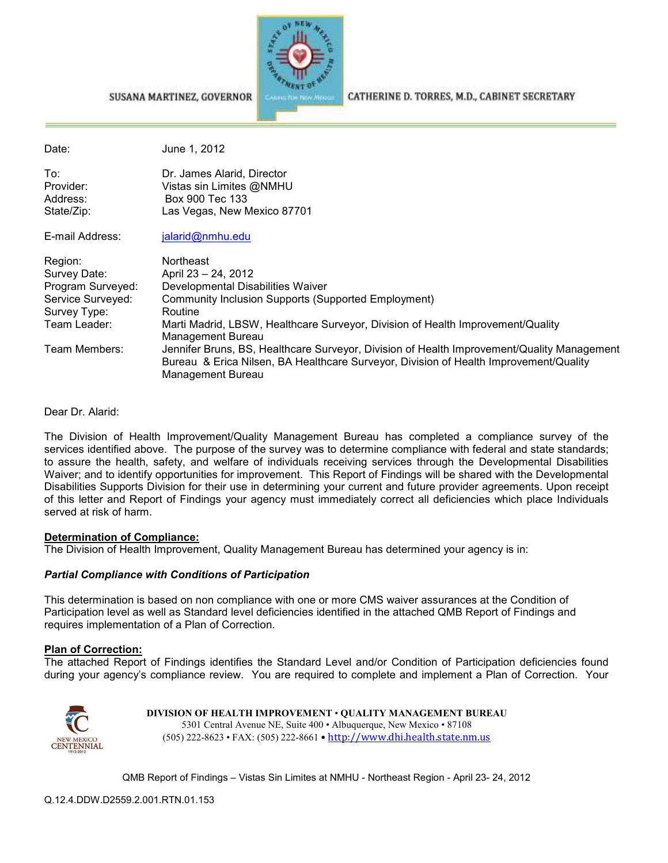

SUSANA MARTINEZ, GOVERNOR

CATHERINE D. TORRES, M.D., CABINET SECRETARY

| Date:                                                                                             | June 1, 2012                                                                                                                                                                                                                                    |
|---------------------------------------------------------------------------------------------------|-------------------------------------------------------------------------------------------------------------------------------------------------------------------------------------------------------------------------------------------------|
| To:<br>Provider:<br>Address:<br>State/Zip:                                                        | Dr. James Alarid, Director<br>Vistas sin Limites @NMHU<br>Box 900 Tec 133<br>Las Vegas, New Mexico 87701                                                                                                                                        |
| E-mail Address:                                                                                   | jalarid@nmhu.edu                                                                                                                                                                                                                                |
| Region:<br>Survey Date:<br>Program Surveyed:<br>Service Surveyed:<br>Survey Type:<br>Team Leader: | Northeast<br>April 23 - 24, 2012<br>Developmental Disabilities Waiver<br>Community Inclusion Supports (Supported Employment)<br>Routine<br>Marti Madrid, LBSW, Healthcare Surveyor, Division of Health Improvement/Quality<br>Management Bureau |
| Team Members:                                                                                     | Jennifer Bruns, BS, Healthcare Surveyor, Division of Health Improvement/Quality Management<br>Bureau & Erica Nilsen, BA Healthcare Surveyor, Division of Health Improvement/Quality<br>Management Bureau                                        |

Dear Dr. Alarid:

The Division of Health Improvement/Quality Management Bureau has completed a compliance survey of the services identified above. The purpose of the survey was to determine compliance with federal and state standards; to assure the health, safety, and welfare of individuals receiving services through the Developmental Disabilities Waiver; and to identify opportunities for improvement. This Report of Findings will be shared with the Developmental Disabilities Supports Division for their use in determining your current and future provider agreements. Upon receipt of this letter and Report of Findings your agency must immediately correct all deficiencies which place Individuals served at risk of harm.

#### **Determination of Compliance:**

The Division of Health Improvement, Quality Management Bureau has determined your agency is in:

#### *Partial Compliance with Conditions of Participation*

This determination is based on non compliance with one or more CMS waiver assurances at the Condition of Participation level as well as Standard level deficiencies identified in the attached QMB Report of Findings and requires implementation of a Plan of Correction.

#### **Plan of Correction:**

The attached Report of Findings identifies the Standard Level and/or Condition of Participation deficiencies found during your agency's compliance review. You are required to complete and implement a Plan of Correction. Your



**DIVISION OF HEALTH IMPROVEMENT** • **QUALITY MANAGEMENT BUREAU** 5301 Central Avenue NE, Suite 400 • Albuquerque, New Mexico • 87108 (505) 222-8623 • FAX: (505) 222-8661 • http://www.dhi.health.state.nm.us

QMB Report of Findings – Vistas Sin Limites at NMHU - Northeast Region - April 23- 24, 2012

Q.12.4.DDW.D2559.2.001.RTN.01.153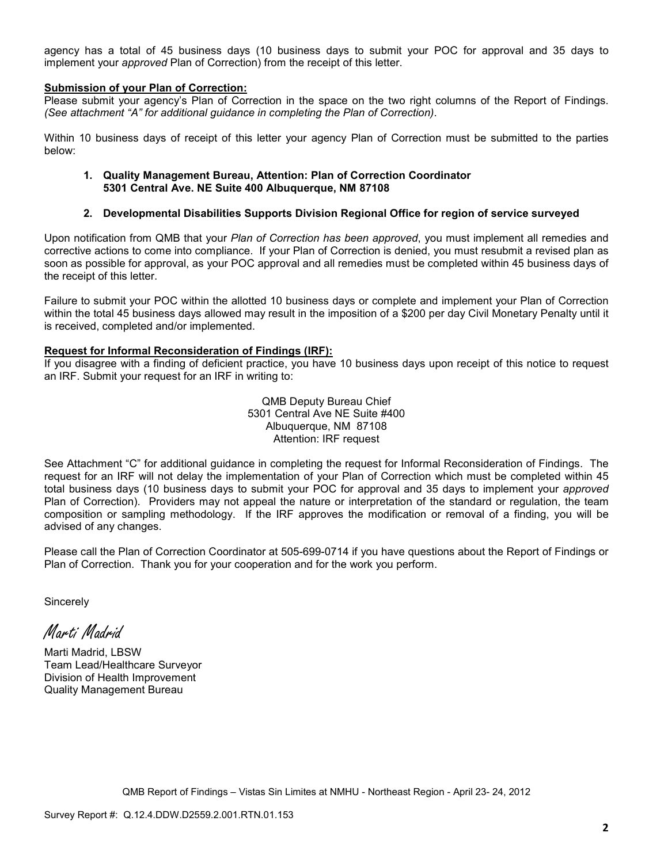agency has a total of 45 business days (10 business days to submit your POC for approval and 35 days to implement your *approved* Plan of Correction) from the receipt of this letter.

#### **Submission of your Plan of Correction:**

Please submit your agency's Plan of Correction in the space on the two right columns of the Report of Findings. *(See attachment "A" for additional guidance in completing the Plan of Correction)*.

Within 10 business days of receipt of this letter your agency Plan of Correction must be submitted to the parties below:

#### **1. Quality Management Bureau, Attention: Plan of Correction Coordinator 5301 Central Ave. NE Suite 400 Albuquerque, NM 87108**

#### **2. Developmental Disabilities Supports Division Regional Office for region of service surveyed**

Upon notification from QMB that your *Plan of Correction has been approved*, you must implement all remedies and corrective actions to come into compliance. If your Plan of Correction is denied, you must resubmit a revised plan as soon as possible for approval, as your POC approval and all remedies must be completed within 45 business days of the receipt of this letter.

Failure to submit your POC within the allotted 10 business days or complete and implement your Plan of Correction within the total 45 business days allowed may result in the imposition of a \$200 per day Civil Monetary Penalty until it is received, completed and/or implemented.

#### **Request for Informal Reconsideration of Findings (IRF):**

If you disagree with a finding of deficient practice, you have 10 business days upon receipt of this notice to request an IRF. Submit your request for an IRF in writing to:

> QMB Deputy Bureau Chief 5301 Central Ave NE Suite #400 Albuquerque, NM 87108 Attention: IRF request

See Attachment "C" for additional guidance in completing the request for Informal Reconsideration of Findings. The request for an IRF will not delay the implementation of your Plan of Correction which must be completed within 45 total business days (10 business days to submit your POC for approval and 35 days to implement your *approved* Plan of Correction). Providers may not appeal the nature or interpretation of the standard or regulation, the team composition or sampling methodology. If the IRF approves the modification or removal of a finding, you will be advised of any changes.

Please call the Plan of Correction Coordinator at 505-699-0714 if you have questions about the Report of Findings or Plan of Correction. Thank you for your cooperation and for the work you perform.

**Sincerely** 

Marti Madrid

Marti Madrid, LBSW Team Lead/Healthcare Surveyor Division of Health Improvement Quality Management Bureau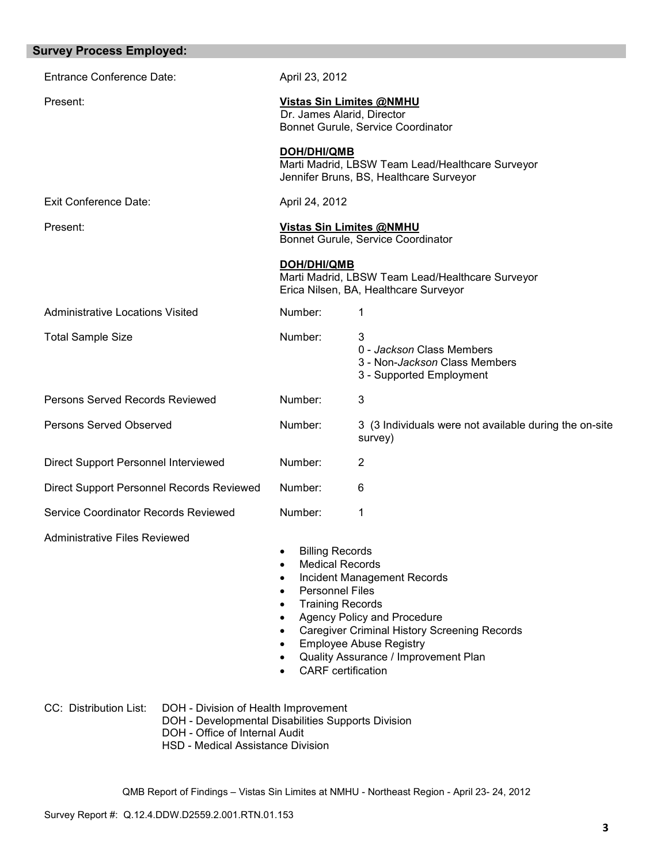| <b>Survey Process Employed:</b>                                                                                                                                                             |                                                                                                                                                                                        |                                                                                                                                                                                             |
|---------------------------------------------------------------------------------------------------------------------------------------------------------------------------------------------|----------------------------------------------------------------------------------------------------------------------------------------------------------------------------------------|---------------------------------------------------------------------------------------------------------------------------------------------------------------------------------------------|
| <b>Entrance Conference Date:</b>                                                                                                                                                            | April 23, 2012                                                                                                                                                                         |                                                                                                                                                                                             |
| Present:                                                                                                                                                                                    | Dr. James Alarid, Director                                                                                                                                                             | <b>Vistas Sin Limites @NMHU</b><br>Bonnet Gurule, Service Coordinator                                                                                                                       |
|                                                                                                                                                                                             | <b>DOH/DHI/QMB</b>                                                                                                                                                                     | Marti Madrid, LBSW Team Lead/Healthcare Surveyor<br>Jennifer Bruns, BS, Healthcare Surveyor                                                                                                 |
| <b>Exit Conference Date:</b>                                                                                                                                                                | April 24, 2012                                                                                                                                                                         |                                                                                                                                                                                             |
| Present:                                                                                                                                                                                    |                                                                                                                                                                                        | Vistas Sin Limites @NMHU<br>Bonnet Gurule, Service Coordinator                                                                                                                              |
|                                                                                                                                                                                             | DOH/DHI/QMB                                                                                                                                                                            | Marti Madrid, LBSW Team Lead/Healthcare Surveyor<br>Erica Nilsen, BA, Healthcare Surveyor                                                                                                   |
| <b>Administrative Locations Visited</b>                                                                                                                                                     | Number:                                                                                                                                                                                | 1                                                                                                                                                                                           |
| <b>Total Sample Size</b>                                                                                                                                                                    | Number:                                                                                                                                                                                | 3<br>0 - Jackson Class Members<br>3 - Non- <i>Jackson</i> Class Members<br>3 - Supported Employment                                                                                         |
| Persons Served Records Reviewed                                                                                                                                                             | Number:                                                                                                                                                                                | $\mathbf{3}$                                                                                                                                                                                |
| <b>Persons Served Observed</b>                                                                                                                                                              | Number:                                                                                                                                                                                | 3 (3 Individuals were not available during the on-site<br>survey)                                                                                                                           |
| Direct Support Personnel Interviewed                                                                                                                                                        | Number:                                                                                                                                                                                | $\overline{2}$                                                                                                                                                                              |
| Direct Support Personnel Records Reviewed                                                                                                                                                   | Number:                                                                                                                                                                                | 6                                                                                                                                                                                           |
| Service Coordinator Records Reviewed                                                                                                                                                        | Number:                                                                                                                                                                                | 1                                                                                                                                                                                           |
| <b>Administrative Files Reviewed</b>                                                                                                                                                        | <b>Billing Records</b><br><b>Medical Records</b><br>$\bullet$<br><b>Personnel Files</b><br>$\bullet$<br><b>Training Records</b><br>$\bullet$<br>$\bullet$<br><b>CARF</b> certification | Incident Management Records<br>Agency Policy and Procedure<br><b>Caregiver Criminal History Screening Records</b><br><b>Employee Abuse Registry</b><br>Quality Assurance / Improvement Plan |
| CC: Distribution List:<br>DOH - Division of Health Improvement<br>DOH - Developmental Disabilities Supports Division<br>DOH - Office of Internal Audit<br>HSD - Medical Assistance Division |                                                                                                                                                                                        |                                                                                                                                                                                             |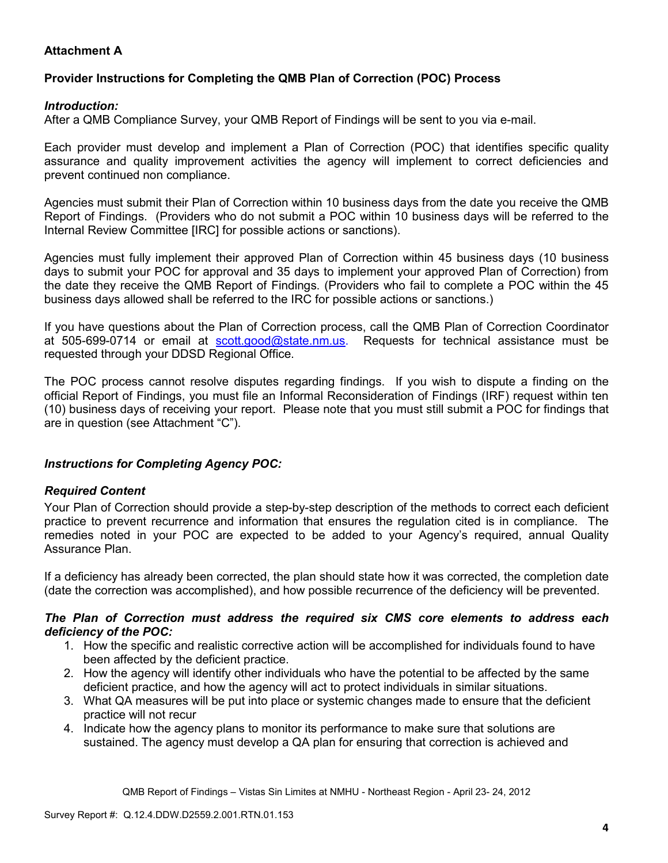## **Attachment A**

## **Provider Instructions for Completing the QMB Plan of Correction (POC) Process**

### *Introduction:*

After a QMB Compliance Survey, your QMB Report of Findings will be sent to you via e-mail.

Each provider must develop and implement a Plan of Correction (POC) that identifies specific quality assurance and quality improvement activities the agency will implement to correct deficiencies and prevent continued non compliance.

Agencies must submit their Plan of Correction within 10 business days from the date you receive the QMB Report of Findings. (Providers who do not submit a POC within 10 business days will be referred to the Internal Review Committee [IRC] for possible actions or sanctions).

Agencies must fully implement their approved Plan of Correction within 45 business days (10 business days to submit your POC for approval and 35 days to implement your approved Plan of Correction) from the date they receive the QMB Report of Findings. (Providers who fail to complete a POC within the 45 business days allowed shall be referred to the IRC for possible actions or sanctions.)

If you have questions about the Plan of Correction process, call the QMB Plan of Correction Coordinator at 505-699-0714 or email at scott.good@state.nm.us. Requests for technical assistance must be requested through your DDSD Regional Office.

The POC process cannot resolve disputes regarding findings. If you wish to dispute a finding on the official Report of Findings, you must file an Informal Reconsideration of Findings (IRF) request within ten (10) business days of receiving your report. Please note that you must still submit a POC for findings that are in question (see Attachment "C").

## *Instructions for Completing Agency POC:*

## *Required Content*

Your Plan of Correction should provide a step-by-step description of the methods to correct each deficient practice to prevent recurrence and information that ensures the regulation cited is in compliance. The remedies noted in your POC are expected to be added to your Agency's required, annual Quality Assurance Plan.

If a deficiency has already been corrected, the plan should state how it was corrected, the completion date (date the correction was accomplished), and how possible recurrence of the deficiency will be prevented.

#### *The Plan of Correction must address the required six CMS core elements to address each deficiency of the POC:*

- 1. How the specific and realistic corrective action will be accomplished for individuals found to have been affected by the deficient practice.
- 2. How the agency will identify other individuals who have the potential to be affected by the same deficient practice, and how the agency will act to protect individuals in similar situations.
- 3. What QA measures will be put into place or systemic changes made to ensure that the deficient practice will not recur
- 4. Indicate how the agency plans to monitor its performance to make sure that solutions are sustained. The agency must develop a QA plan for ensuring that correction is achieved and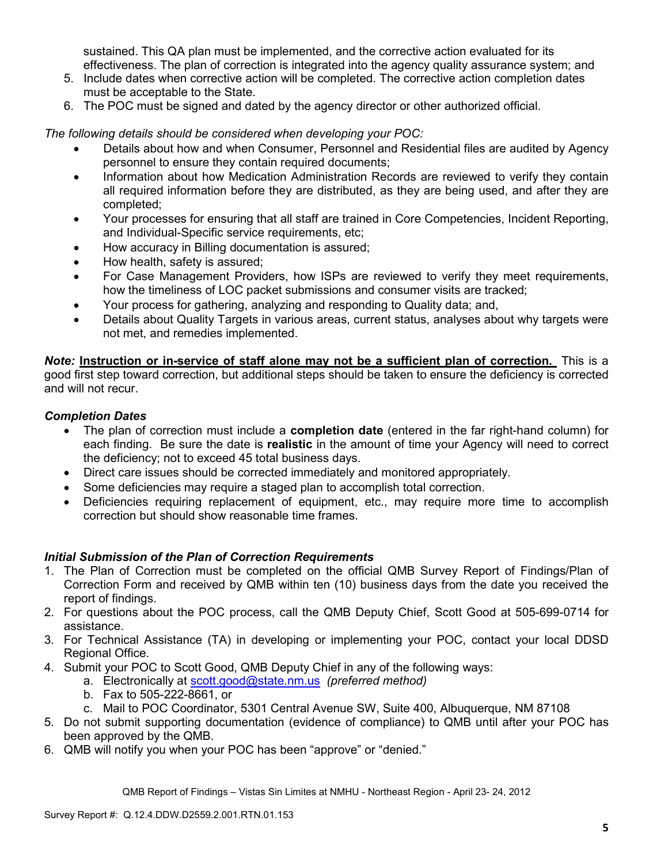sustained. This QA plan must be implemented, and the corrective action evaluated for its effectiveness. The plan of correction is integrated into the agency quality assurance system; and

- 5. Include dates when corrective action will be completed. The corrective action completion dates must be acceptable to the State.
- 6. The POC must be signed and dated by the agency director or other authorized official.

*The following details should be considered when developing your POC:* 

- Details about how and when Consumer, Personnel and Residential files are audited by Agency personnel to ensure they contain required documents;
- Information about how Medication Administration Records are reviewed to verify they contain all required information before they are distributed, as they are being used, and after they are completed;
- Your processes for ensuring that all staff are trained in Core Competencies, Incident Reporting, and Individual-Specific service requirements, etc;
- How accuracy in Billing documentation is assured;
- How health, safety is assured;
- For Case Management Providers, how ISPs are reviewed to verify they meet requirements, how the timeliness of LOC packet submissions and consumer visits are tracked;
- Your process for gathering, analyzing and responding to Quality data; and,
- Details about Quality Targets in various areas, current status, analyses about why targets were not met, and remedies implemented.

*Note:* **Instruction or in-service of staff alone may not be a sufficient plan of correction.** This is a good first step toward correction, but additional steps should be taken to ensure the deficiency is corrected and will not recur.

## *Completion Dates*

- The plan of correction must include a **completion date** (entered in the far right-hand column) for each finding. Be sure the date is **realistic** in the amount of time your Agency will need to correct the deficiency; not to exceed 45 total business days.
- Direct care issues should be corrected immediately and monitored appropriately.
- Some deficiencies may require a staged plan to accomplish total correction.
- Deficiencies requiring replacement of equipment, etc., may require more time to accomplish correction but should show reasonable time frames.

## *Initial Submission of the Plan of Correction Requirements*

- 1. The Plan of Correction must be completed on the official QMB Survey Report of Findings/Plan of Correction Form and received by QMB within ten (10) business days from the date you received the report of findings.
- 2. For questions about the POC process, call the QMB Deputy Chief, Scott Good at 505-699-0714 for assistance.
- 3. For Technical Assistance (TA) in developing or implementing your POC, contact your local DDSD Regional Office.
- 4. Submit your POC to Scott Good, QMB Deputy Chief in any of the following ways:
	- a. Electronically at scott.good@state.nm.us *(preferred method)*
	- b. Fax to 505-222-8661, or
	- c. Mail to POC Coordinator, 5301 Central Avenue SW, Suite 400, Albuquerque, NM 87108
- 5. Do not submit supporting documentation (evidence of compliance) to QMB until after your POC has been approved by the QMB.
- 6. QMB will notify you when your POC has been "approve" or "denied."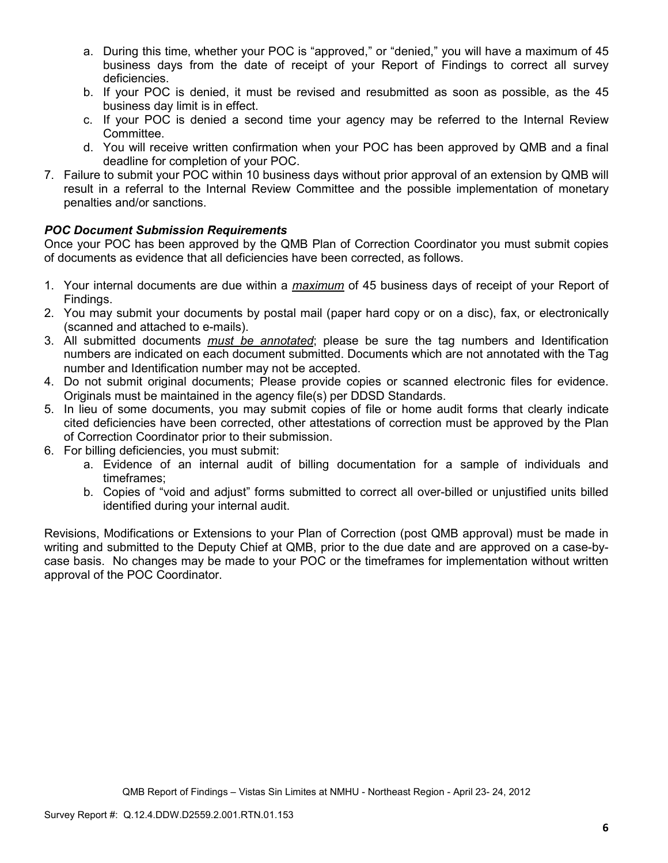- a. During this time, whether your POC is "approved," or "denied," you will have a maximum of 45 business days from the date of receipt of your Report of Findings to correct all survey deficiencies.
- b. If your POC is denied, it must be revised and resubmitted as soon as possible, as the 45 business day limit is in effect.
- c. If your POC is denied a second time your agency may be referred to the Internal Review Committee.
- d. You will receive written confirmation when your POC has been approved by QMB and a final deadline for completion of your POC.
- 7. Failure to submit your POC within 10 business days without prior approval of an extension by QMB will result in a referral to the Internal Review Committee and the possible implementation of monetary penalties and/or sanctions.

## *POC Document Submission Requirements*

Once your POC has been approved by the QMB Plan of Correction Coordinator you must submit copies of documents as evidence that all deficiencies have been corrected, as follows.

- 1. Your internal documents are due within a *maximum* of 45 business days of receipt of your Report of Findings.
- 2. You may submit your documents by postal mail (paper hard copy or on a disc), fax, or electronically (scanned and attached to e-mails).
- 3. All submitted documents *must be annotated*; please be sure the tag numbers and Identification numbers are indicated on each document submitted. Documents which are not annotated with the Tag number and Identification number may not be accepted.
- 4. Do not submit original documents; Please provide copies or scanned electronic files for evidence. Originals must be maintained in the agency file(s) per DDSD Standards.
- 5. In lieu of some documents, you may submit copies of file or home audit forms that clearly indicate cited deficiencies have been corrected, other attestations of correction must be approved by the Plan of Correction Coordinator prior to their submission.
- 6. For billing deficiencies, you must submit:
	- a. Evidence of an internal audit of billing documentation for a sample of individuals and timeframes;
	- b. Copies of "void and adjust" forms submitted to correct all over-billed or unjustified units billed identified during your internal audit.

Revisions, Modifications or Extensions to your Plan of Correction (post QMB approval) must be made in writing and submitted to the Deputy Chief at QMB, prior to the due date and are approved on a case-bycase basis. No changes may be made to your POC or the timeframes for implementation without written approval of the POC Coordinator.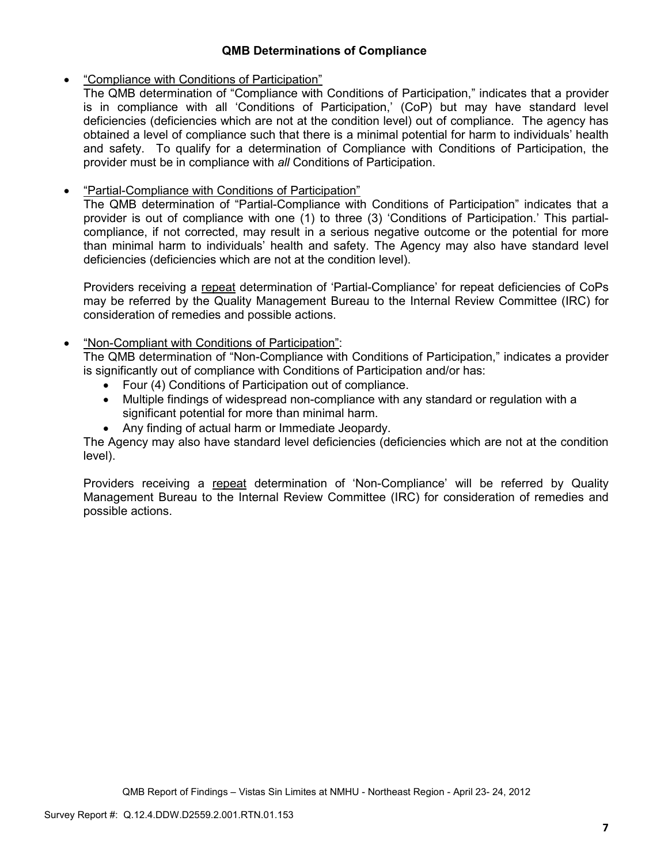## **QMB Determinations of Compliance**

## • "Compliance with Conditions of Participation"

The QMB determination of "Compliance with Conditions of Participation," indicates that a provider is in compliance with all 'Conditions of Participation,' (CoP) but may have standard level deficiencies (deficiencies which are not at the condition level) out of compliance. The agency has obtained a level of compliance such that there is a minimal potential for harm to individuals' health and safety. To qualify for a determination of Compliance with Conditions of Participation, the provider must be in compliance with *all* Conditions of Participation.

## • "Partial-Compliance with Conditions of Participation"

The QMB determination of "Partial-Compliance with Conditions of Participation" indicates that a provider is out of compliance with one (1) to three (3) 'Conditions of Participation.' This partialcompliance, if not corrected, may result in a serious negative outcome or the potential for more than minimal harm to individuals' health and safety. The Agency may also have standard level deficiencies (deficiencies which are not at the condition level).

Providers receiving a repeat determination of 'Partial-Compliance' for repeat deficiencies of CoPs may be referred by the Quality Management Bureau to the Internal Review Committee (IRC) for consideration of remedies and possible actions.

## • "Non-Compliant with Conditions of Participation":

The QMB determination of "Non-Compliance with Conditions of Participation," indicates a provider is significantly out of compliance with Conditions of Participation and/or has:

- Four (4) Conditions of Participation out of compliance.
- Multiple findings of widespread non-compliance with any standard or regulation with a significant potential for more than minimal harm.
- Any finding of actual harm or Immediate Jeopardy.

The Agency may also have standard level deficiencies (deficiencies which are not at the condition level).

Providers receiving a repeat determination of 'Non-Compliance' will be referred by Quality Management Bureau to the Internal Review Committee (IRC) for consideration of remedies and possible actions.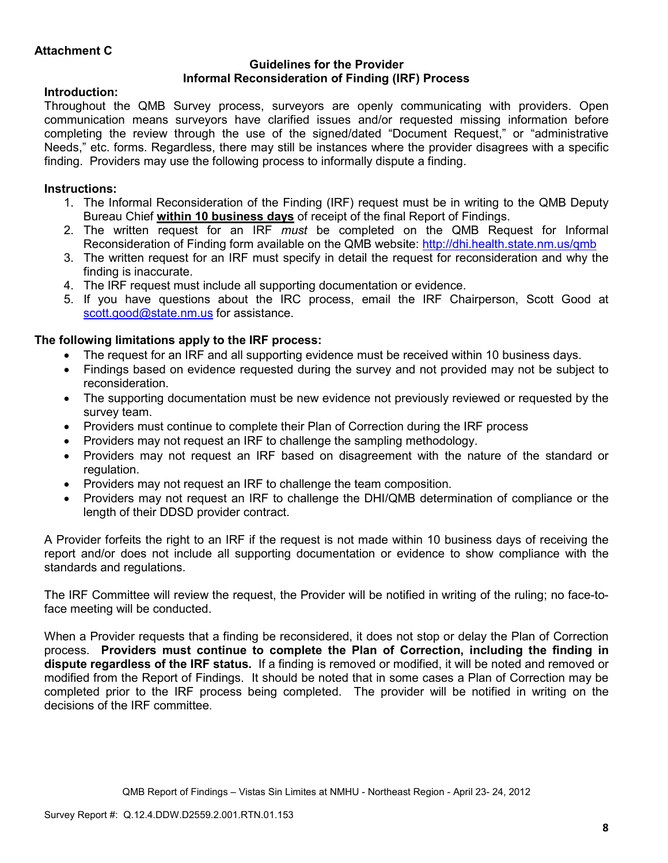### **Guidelines for the Provider Informal Reconsideration of Finding (IRF) Process**

## **Introduction:**

Throughout the QMB Survey process, surveyors are openly communicating with providers. Open communication means surveyors have clarified issues and/or requested missing information before completing the review through the use of the signed/dated "Document Request," or "administrative Needs," etc. forms. Regardless, there may still be instances where the provider disagrees with a specific finding. Providers may use the following process to informally dispute a finding.

# **Instructions:**

- 1. The Informal Reconsideration of the Finding (IRF) request must be in writing to the QMB Deputy Bureau Chief **within 10 business days** of receipt of the final Report of Findings.
- 2. The written request for an IRF *must* be completed on the QMB Request for Informal Reconsideration of Finding form available on the QMB website: http://dhi.health.state.nm.us/qmb
- 3. The written request for an IRF must specify in detail the request for reconsideration and why the finding is inaccurate.
- 4. The IRF request must include all supporting documentation or evidence.
- 5. If you have questions about the IRC process, email the IRF Chairperson, Scott Good at scott.good@state.nm.us for assistance.

## **The following limitations apply to the IRF process:**

- The request for an IRF and all supporting evidence must be received within 10 business days.
- Findings based on evidence requested during the survey and not provided may not be subject to reconsideration.
- The supporting documentation must be new evidence not previously reviewed or requested by the survey team.
- Providers must continue to complete their Plan of Correction during the IRF process
- Providers may not request an IRF to challenge the sampling methodology.
- Providers may not request an IRF based on disagreement with the nature of the standard or regulation.
- Providers may not request an IRF to challenge the team composition.
- Providers may not request an IRF to challenge the DHI/QMB determination of compliance or the length of their DDSD provider contract.

A Provider forfeits the right to an IRF if the request is not made within 10 business days of receiving the report and/or does not include all supporting documentation or evidence to show compliance with the standards and regulations.

The IRF Committee will review the request, the Provider will be notified in writing of the ruling; no face-toface meeting will be conducted.

When a Provider requests that a finding be reconsidered, it does not stop or delay the Plan of Correction process. **Providers must continue to complete the Plan of Correction, including the finding in dispute regardless of the IRF status.** If a finding is removed or modified, it will be noted and removed or modified from the Report of Findings. It should be noted that in some cases a Plan of Correction may be completed prior to the IRF process being completed. The provider will be notified in writing on the decisions of the IRF committee.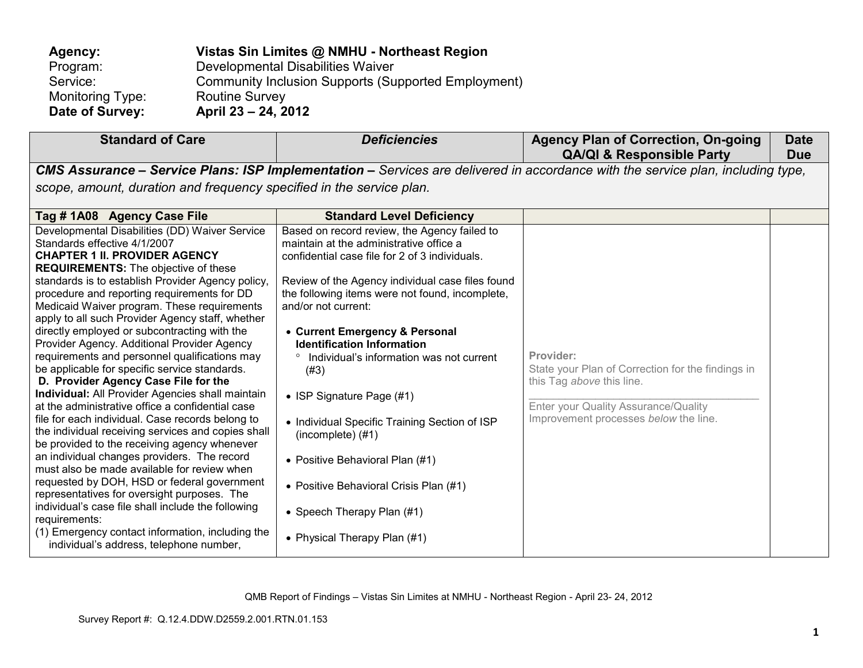| Agency:          | Vistas Sin Limites @ NMHU - Northeast Region        |
|------------------|-----------------------------------------------------|
| Program:         | Developmental Disabilities Waiver                   |
| Service:         | Community Inclusion Supports (Supported Employment) |
| Monitoring Type: | <b>Routine Survey</b>                               |
| Date of Survey:  | April 23 – 24, 2012                                 |

| <b>Standard of Care</b>                                                                                                                                                                                                                                                                                                                                                                                                                                                                                                                                                                                                                                                                                                                                                                                                                                                                                                                                                                                                                                                                                                                                                                                                                                          | <b>Deficiencies</b>                                                                                                                                                                                                                                                                                                                                                                                                                                                                                                                                                                                                                                         | <b>Agency Plan of Correction, On-going</b><br><b>QA/QI &amp; Responsible Party</b>                                                                                           | <b>Date</b><br><b>Due</b> |
|------------------------------------------------------------------------------------------------------------------------------------------------------------------------------------------------------------------------------------------------------------------------------------------------------------------------------------------------------------------------------------------------------------------------------------------------------------------------------------------------------------------------------------------------------------------------------------------------------------------------------------------------------------------------------------------------------------------------------------------------------------------------------------------------------------------------------------------------------------------------------------------------------------------------------------------------------------------------------------------------------------------------------------------------------------------------------------------------------------------------------------------------------------------------------------------------------------------------------------------------------------------|-------------------------------------------------------------------------------------------------------------------------------------------------------------------------------------------------------------------------------------------------------------------------------------------------------------------------------------------------------------------------------------------------------------------------------------------------------------------------------------------------------------------------------------------------------------------------------------------------------------------------------------------------------------|------------------------------------------------------------------------------------------------------------------------------------------------------------------------------|---------------------------|
|                                                                                                                                                                                                                                                                                                                                                                                                                                                                                                                                                                                                                                                                                                                                                                                                                                                                                                                                                                                                                                                                                                                                                                                                                                                                  |                                                                                                                                                                                                                                                                                                                                                                                                                                                                                                                                                                                                                                                             | CMS Assurance – Service Plans: ISP Implementation – Services are delivered in accordance with the service plan, including type,                                              |                           |
| scope, amount, duration and frequency specified in the service plan.                                                                                                                                                                                                                                                                                                                                                                                                                                                                                                                                                                                                                                                                                                                                                                                                                                                                                                                                                                                                                                                                                                                                                                                             |                                                                                                                                                                                                                                                                                                                                                                                                                                                                                                                                                                                                                                                             |                                                                                                                                                                              |                           |
| Tag # 1A08 Agency Case File                                                                                                                                                                                                                                                                                                                                                                                                                                                                                                                                                                                                                                                                                                                                                                                                                                                                                                                                                                                                                                                                                                                                                                                                                                      | <b>Standard Level Deficiency</b>                                                                                                                                                                                                                                                                                                                                                                                                                                                                                                                                                                                                                            |                                                                                                                                                                              |                           |
| Developmental Disabilities (DD) Waiver Service<br>Standards effective 4/1/2007<br><b>CHAPTER 1 II. PROVIDER AGENCY</b><br><b>REQUIREMENTS:</b> The objective of these<br>standards is to establish Provider Agency policy,<br>procedure and reporting requirements for DD<br>Medicaid Waiver program. These requirements<br>apply to all such Provider Agency staff, whether<br>directly employed or subcontracting with the<br>Provider Agency. Additional Provider Agency<br>requirements and personnel qualifications may<br>be applicable for specific service standards.<br>D. Provider Agency Case File for the<br><b>Individual:</b> All Provider Agencies shall maintain<br>at the administrative office a confidential case<br>file for each individual. Case records belong to<br>the individual receiving services and copies shall<br>be provided to the receiving agency whenever<br>an individual changes providers. The record<br>must also be made available for review when<br>requested by DOH, HSD or federal government<br>representatives for oversight purposes. The<br>individual's case file shall include the following<br>requirements:<br>(1) Emergency contact information, including the<br>individual's address, telephone number, | Based on record review, the Agency failed to<br>maintain at the administrative office a<br>confidential case file for 2 of 3 individuals.<br>Review of the Agency individual case files found<br>the following items were not found, incomplete,<br>and/or not current:<br>• Current Emergency & Personal<br><b>Identification Information</b><br>Individual's information was not current<br>$\circ$<br>(#3)<br>• ISP Signature Page (#1)<br>• Individual Specific Training Section of ISP<br>(incomplete) (#1)<br>• Positive Behavioral Plan (#1)<br>• Positive Behavioral Crisis Plan (#1)<br>• Speech Therapy Plan (#1)<br>• Physical Therapy Plan (#1) | Provider:<br>State your Plan of Correction for the findings in<br>this Tag above this line.<br>Enter your Quality Assurance/Quality<br>Improvement processes below the line. |                           |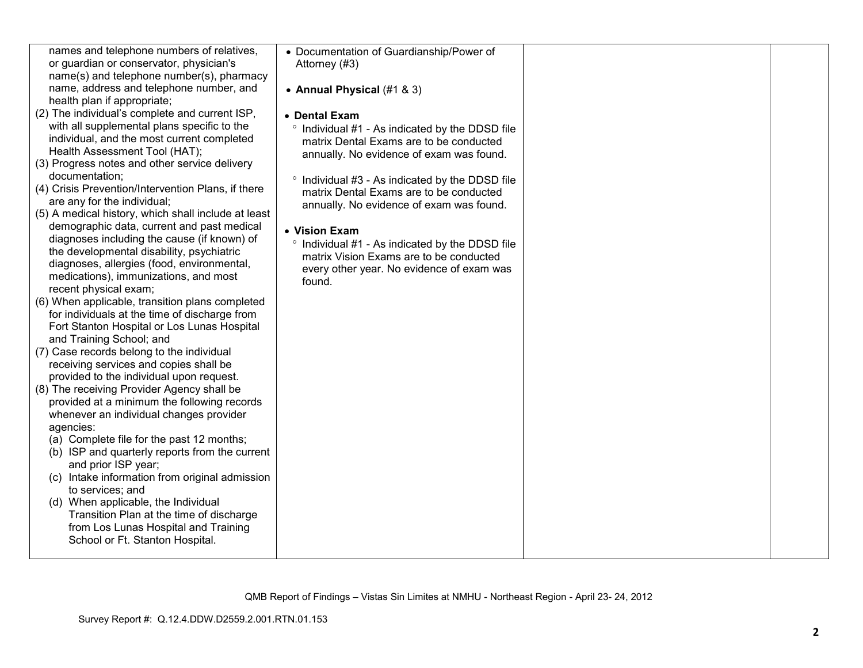| names and telephone numbers of relatives,           | • Documentation of Guardianship/Power of                   |  |
|-----------------------------------------------------|------------------------------------------------------------|--|
| or guardian or conservator, physician's             | Attorney (#3)                                              |  |
| name(s) and telephone number(s), pharmacy           |                                                            |  |
| name, address and telephone number, and             | • Annual Physical (#1 & 3)                                 |  |
| health plan if appropriate;                         |                                                            |  |
| (2) The individual's complete and current ISP,      | • Dental Exam                                              |  |
| with all supplemental plans specific to the         | <sup>o</sup> Individual #1 - As indicated by the DDSD file |  |
| individual, and the most current completed          | matrix Dental Exams are to be conducted                    |  |
| Health Assessment Tool (HAT);                       | annually. No evidence of exam was found.                   |  |
| (3) Progress notes and other service delivery       |                                                            |  |
| documentation;                                      |                                                            |  |
| (4) Crisis Prevention/Intervention Plans, if there  | ° Individual #3 - As indicated by the DDSD file            |  |
| are any for the individual;                         | matrix Dental Exams are to be conducted                    |  |
| (5) A medical history, which shall include at least | annually. No evidence of exam was found.                   |  |
|                                                     |                                                            |  |
| demographic data, current and past medical          | • Vision Exam                                              |  |
| diagnoses including the cause (if known) of         | ° Individual #1 - As indicated by the DDSD file            |  |
| the developmental disability, psychiatric           | matrix Vision Exams are to be conducted                    |  |
| diagnoses, allergies (food, environmental,          | every other year. No evidence of exam was                  |  |
| medications), immunizations, and most               | found.                                                     |  |
| recent physical exam;                               |                                                            |  |
| (6) When applicable, transition plans completed     |                                                            |  |
| for individuals at the time of discharge from       |                                                            |  |
| Fort Stanton Hospital or Los Lunas Hospital         |                                                            |  |
| and Training School; and                            |                                                            |  |
| (7) Case records belong to the individual           |                                                            |  |
| receiving services and copies shall be              |                                                            |  |
| provided to the individual upon request.            |                                                            |  |
| (8) The receiving Provider Agency shall be          |                                                            |  |
| provided at a minimum the following records         |                                                            |  |
| whenever an individual changes provider             |                                                            |  |
| agencies:                                           |                                                            |  |
| (a) Complete file for the past 12 months;           |                                                            |  |
| (b) ISP and quarterly reports from the current      |                                                            |  |
| and prior ISP year;                                 |                                                            |  |
| (c) Intake information from original admission      |                                                            |  |
| to services; and                                    |                                                            |  |
| (d) When applicable, the Individual                 |                                                            |  |
| Transition Plan at the time of discharge            |                                                            |  |
| from Los Lunas Hospital and Training                |                                                            |  |
| School or Ft. Stanton Hospital.                     |                                                            |  |
|                                                     |                                                            |  |
|                                                     |                                                            |  |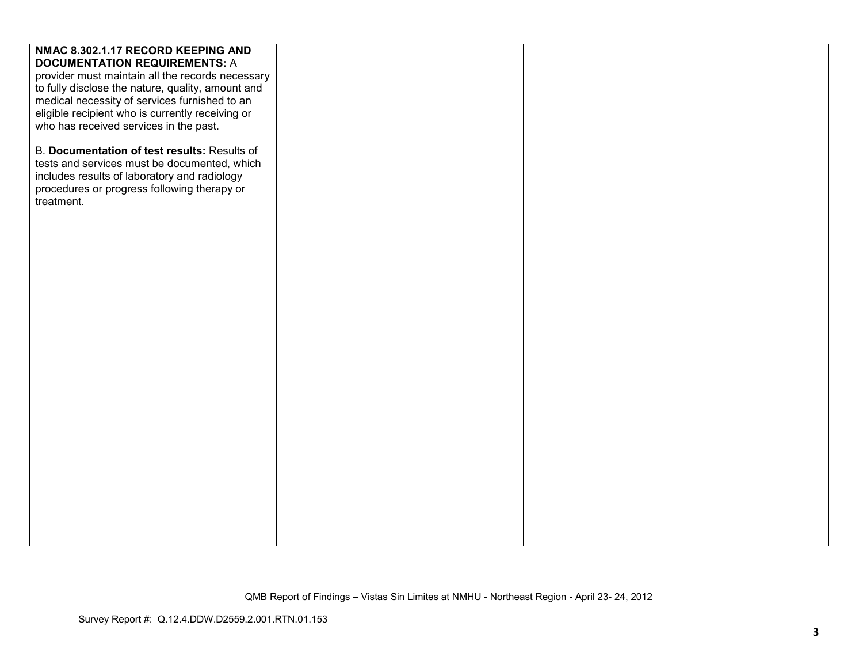| NMAC 8.302.1.17 RECORD KEEPING AND                |  |  |
|---------------------------------------------------|--|--|
| <b>DOCUMENTATION REQUIREMENTS: A</b>              |  |  |
| provider must maintain all the records necessary  |  |  |
| to fully disclose the nature, quality, amount and |  |  |
| medical necessity of services furnished to an     |  |  |
| eligible recipient who is currently receiving or  |  |  |
| who has received services in the past.            |  |  |
|                                                   |  |  |
| B. Documentation of test results: Results of      |  |  |
| tests and services must be documented, which      |  |  |
| includes results of laboratory and radiology      |  |  |
| procedures or progress following therapy or       |  |  |
| treatment.                                        |  |  |
|                                                   |  |  |
|                                                   |  |  |
|                                                   |  |  |
|                                                   |  |  |
|                                                   |  |  |
|                                                   |  |  |
|                                                   |  |  |
|                                                   |  |  |
|                                                   |  |  |
|                                                   |  |  |
|                                                   |  |  |
|                                                   |  |  |
|                                                   |  |  |
|                                                   |  |  |
|                                                   |  |  |
|                                                   |  |  |
|                                                   |  |  |
|                                                   |  |  |
|                                                   |  |  |
|                                                   |  |  |
|                                                   |  |  |
|                                                   |  |  |
|                                                   |  |  |
|                                                   |  |  |
|                                                   |  |  |
|                                                   |  |  |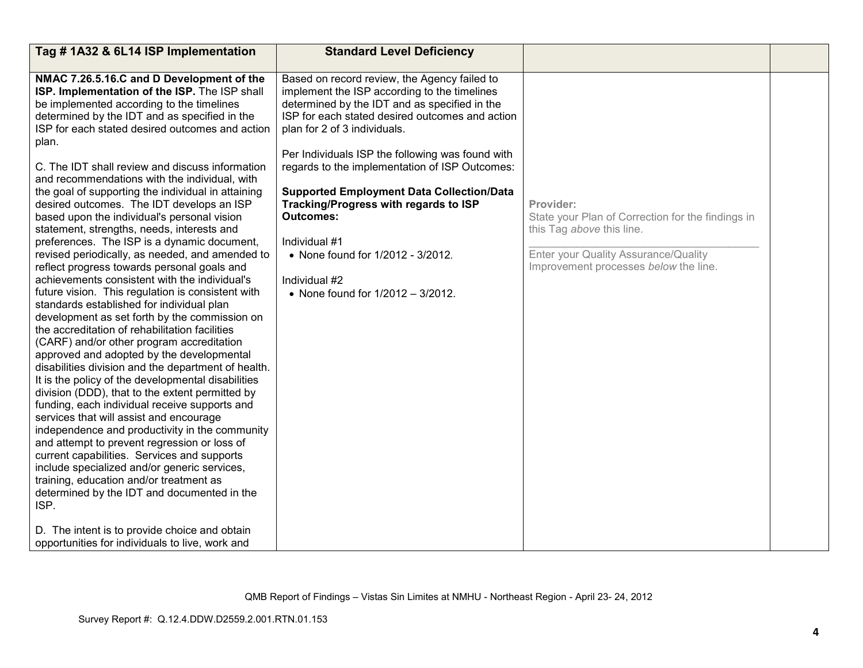| Tag #1A32 & 6L14 ISP Implementation                                                                                                                                                                                                                                                                                                                                                                                                                                                                                                                                                                                                                                                                                                                                                                                                                                                                                                                                                                                                                                                                                                                                                                                                                                                                                                                                                                                                                                                                                                                                                                                                                                       | <b>Standard Level Deficiency</b>                                                                                                                                                                                                                                                                                                                                                                                                                                                                                                                                    |                                                                                                                                                                              |  |
|---------------------------------------------------------------------------------------------------------------------------------------------------------------------------------------------------------------------------------------------------------------------------------------------------------------------------------------------------------------------------------------------------------------------------------------------------------------------------------------------------------------------------------------------------------------------------------------------------------------------------------------------------------------------------------------------------------------------------------------------------------------------------------------------------------------------------------------------------------------------------------------------------------------------------------------------------------------------------------------------------------------------------------------------------------------------------------------------------------------------------------------------------------------------------------------------------------------------------------------------------------------------------------------------------------------------------------------------------------------------------------------------------------------------------------------------------------------------------------------------------------------------------------------------------------------------------------------------------------------------------------------------------------------------------|---------------------------------------------------------------------------------------------------------------------------------------------------------------------------------------------------------------------------------------------------------------------------------------------------------------------------------------------------------------------------------------------------------------------------------------------------------------------------------------------------------------------------------------------------------------------|------------------------------------------------------------------------------------------------------------------------------------------------------------------------------|--|
| NMAC 7.26.5.16.C and D Development of the<br>ISP. Implementation of the ISP. The ISP shall<br>be implemented according to the timelines<br>determined by the IDT and as specified in the<br>ISP for each stated desired outcomes and action<br>plan.<br>C. The IDT shall review and discuss information<br>and recommendations with the individual, with<br>the goal of supporting the individual in attaining<br>desired outcomes. The IDT develops an ISP<br>based upon the individual's personal vision<br>statement, strengths, needs, interests and<br>preferences. The ISP is a dynamic document,<br>revised periodically, as needed, and amended to<br>reflect progress towards personal goals and<br>achievements consistent with the individual's<br>future vision. This regulation is consistent with<br>standards established for individual plan<br>development as set forth by the commission on<br>the accreditation of rehabilitation facilities<br>(CARF) and/or other program accreditation<br>approved and adopted by the developmental<br>disabilities division and the department of health.<br>It is the policy of the developmental disabilities<br>division (DDD), that to the extent permitted by<br>funding, each individual receive supports and<br>services that will assist and encourage<br>independence and productivity in the community<br>and attempt to prevent regression or loss of<br>current capabilities. Services and supports<br>include specialized and/or generic services,<br>training, education and/or treatment as<br>determined by the IDT and documented in the<br>ISP.<br>D. The intent is to provide choice and obtain | Based on record review, the Agency failed to<br>implement the ISP according to the timelines<br>determined by the IDT and as specified in the<br>ISP for each stated desired outcomes and action<br>plan for 2 of 3 individuals.<br>Per Individuals ISP the following was found with<br>regards to the implementation of ISP Outcomes:<br><b>Supported Employment Data Collection/Data</b><br>Tracking/Progress with regards to ISP<br><b>Outcomes:</b><br>Individual #1<br>• None found for 1/2012 - 3/2012.<br>Individual #2<br>• None found for 1/2012 - 3/2012. | Provider:<br>State your Plan of Correction for the findings in<br>this Tag above this line.<br>Enter your Quality Assurance/Quality<br>Improvement processes below the line. |  |
| opportunities for individuals to live, work and                                                                                                                                                                                                                                                                                                                                                                                                                                                                                                                                                                                                                                                                                                                                                                                                                                                                                                                                                                                                                                                                                                                                                                                                                                                                                                                                                                                                                                                                                                                                                                                                                           |                                                                                                                                                                                                                                                                                                                                                                                                                                                                                                                                                                     |                                                                                                                                                                              |  |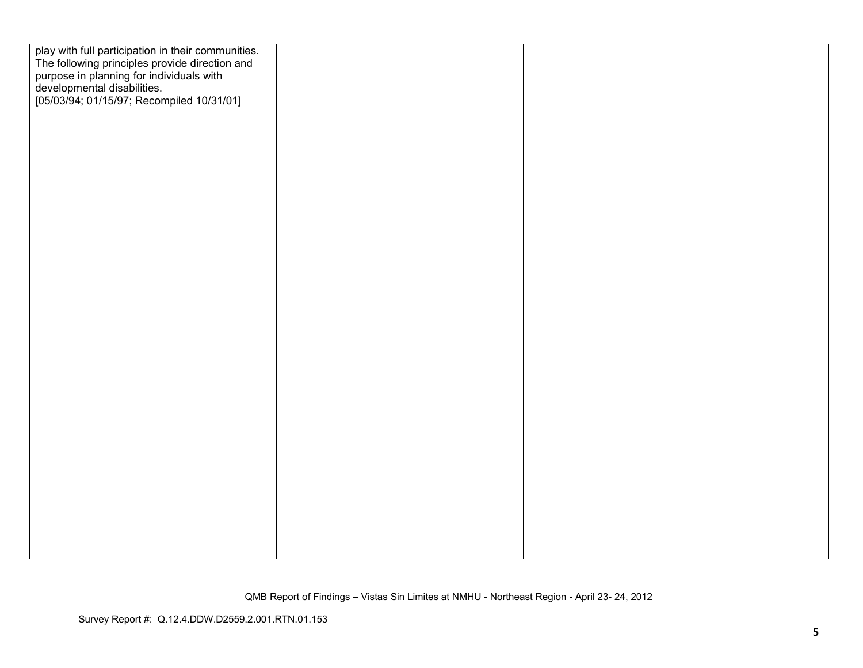| play with full participation in their communities.<br>The following principles provide direction and<br>purpose in planning for individuals with<br>developmental disabilities.<br>[05/03/94; 01/15/97; Recompiled 10/31/01] |  |  |
|------------------------------------------------------------------------------------------------------------------------------------------------------------------------------------------------------------------------------|--|--|
|                                                                                                                                                                                                                              |  |  |
|                                                                                                                                                                                                                              |  |  |
|                                                                                                                                                                                                                              |  |  |
|                                                                                                                                                                                                                              |  |  |
|                                                                                                                                                                                                                              |  |  |
|                                                                                                                                                                                                                              |  |  |
|                                                                                                                                                                                                                              |  |  |
|                                                                                                                                                                                                                              |  |  |
|                                                                                                                                                                                                                              |  |  |
|                                                                                                                                                                                                                              |  |  |
|                                                                                                                                                                                                                              |  |  |
|                                                                                                                                                                                                                              |  |  |
|                                                                                                                                                                                                                              |  |  |
|                                                                                                                                                                                                                              |  |  |
|                                                                                                                                                                                                                              |  |  |
|                                                                                                                                                                                                                              |  |  |
|                                                                                                                                                                                                                              |  |  |
|                                                                                                                                                                                                                              |  |  |
|                                                                                                                                                                                                                              |  |  |
|                                                                                                                                                                                                                              |  |  |
|                                                                                                                                                                                                                              |  |  |
|                                                                                                                                                                                                                              |  |  |
|                                                                                                                                                                                                                              |  |  |
|                                                                                                                                                                                                                              |  |  |
|                                                                                                                                                                                                                              |  |  |
|                                                                                                                                                                                                                              |  |  |
|                                                                                                                                                                                                                              |  |  |
|                                                                                                                                                                                                                              |  |  |
|                                                                                                                                                                                                                              |  |  |
|                                                                                                                                                                                                                              |  |  |
|                                                                                                                                                                                                                              |  |  |
|                                                                                                                                                                                                                              |  |  |
|                                                                                                                                                                                                                              |  |  |
|                                                                                                                                                                                                                              |  |  |
|                                                                                                                                                                                                                              |  |  |
|                                                                                                                                                                                                                              |  |  |
|                                                                                                                                                                                                                              |  |  |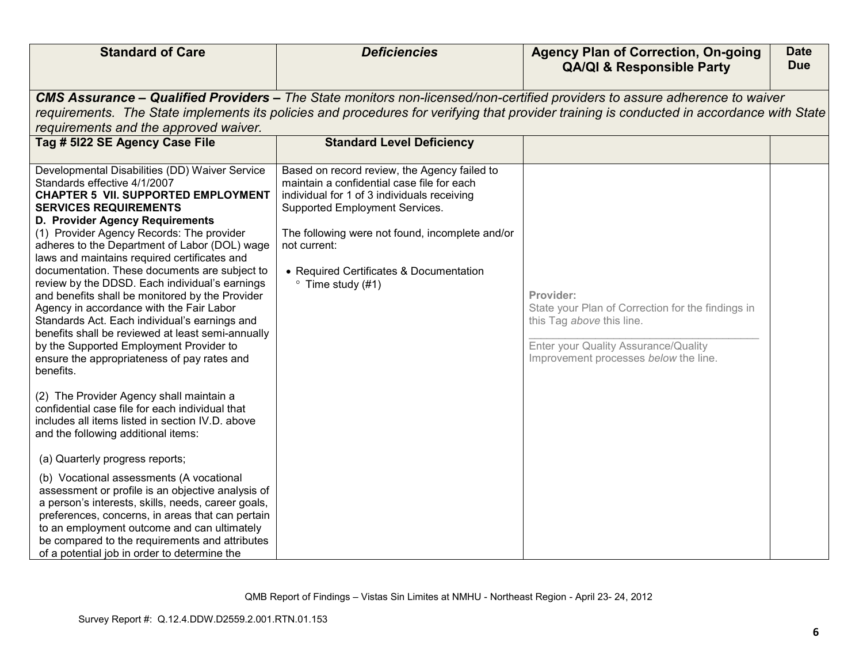| <b>Standard of Care</b>                                                                                                                                                                                                                                                                                                                                                                                                                                                                                                                                                                                                                                                                                                                                      | <b>Deficiencies</b>                                                                                                                                                                                                                                                                                                    | <b>Agency Plan of Correction, On-going</b><br><b>QA/QI &amp; Responsible Party</b>                                                                                                                                                                                       | <b>Date</b><br><b>Due</b> |
|--------------------------------------------------------------------------------------------------------------------------------------------------------------------------------------------------------------------------------------------------------------------------------------------------------------------------------------------------------------------------------------------------------------------------------------------------------------------------------------------------------------------------------------------------------------------------------------------------------------------------------------------------------------------------------------------------------------------------------------------------------------|------------------------------------------------------------------------------------------------------------------------------------------------------------------------------------------------------------------------------------------------------------------------------------------------------------------------|--------------------------------------------------------------------------------------------------------------------------------------------------------------------------------------------------------------------------------------------------------------------------|---------------------------|
| requirements and the approved waiver.                                                                                                                                                                                                                                                                                                                                                                                                                                                                                                                                                                                                                                                                                                                        |                                                                                                                                                                                                                                                                                                                        | CMS Assurance - Qualified Providers - The State monitors non-licensed/non-certified providers to assure adherence to waiver<br>requirements. The State implements its policies and procedures for verifying that provider training is conducted in accordance with State |                           |
| Tag # 5122 SE Agency Case File                                                                                                                                                                                                                                                                                                                                                                                                                                                                                                                                                                                                                                                                                                                               | <b>Standard Level Deficiency</b>                                                                                                                                                                                                                                                                                       |                                                                                                                                                                                                                                                                          |                           |
| Developmental Disabilities (DD) Waiver Service<br>Standards effective 4/1/2007<br><b>CHAPTER 5 VII. SUPPORTED EMPLOYMENT</b><br><b>SERVICES REQUIREMENTS</b><br>D. Provider Agency Requirements<br>(1) Provider Agency Records: The provider<br>adheres to the Department of Labor (DOL) wage<br>laws and maintains required certificates and<br>documentation. These documents are subject to<br>review by the DDSD. Each individual's earnings<br>and benefits shall be monitored by the Provider<br>Agency in accordance with the Fair Labor<br>Standards Act. Each individual's earnings and<br>benefits shall be reviewed at least semi-annually<br>by the Supported Employment Provider to<br>ensure the appropriateness of pay rates and<br>benefits. | Based on record review, the Agency failed to<br>maintain a confidential case file for each<br>individual for 1 of 3 individuals receiving<br>Supported Employment Services.<br>The following were not found, incomplete and/or<br>not current:<br>• Required Certificates & Documentation<br>$\degree$ Time study (#1) | Provider:<br>State your Plan of Correction for the findings in<br>this Tag above this line.<br>Enter your Quality Assurance/Quality<br>Improvement processes below the line.                                                                                             |                           |
| (2) The Provider Agency shall maintain a<br>confidential case file for each individual that<br>includes all items listed in section IV.D. above<br>and the following additional items:                                                                                                                                                                                                                                                                                                                                                                                                                                                                                                                                                                       |                                                                                                                                                                                                                                                                                                                        |                                                                                                                                                                                                                                                                          |                           |
| (a) Quarterly progress reports;                                                                                                                                                                                                                                                                                                                                                                                                                                                                                                                                                                                                                                                                                                                              |                                                                                                                                                                                                                                                                                                                        |                                                                                                                                                                                                                                                                          |                           |
| (b) Vocational assessments (A vocational<br>assessment or profile is an objective analysis of<br>a person's interests, skills, needs, career goals,<br>preferences, concerns, in areas that can pertain<br>to an employment outcome and can ultimately<br>be compared to the requirements and attributes<br>of a potential job in order to determine the                                                                                                                                                                                                                                                                                                                                                                                                     |                                                                                                                                                                                                                                                                                                                        |                                                                                                                                                                                                                                                                          |                           |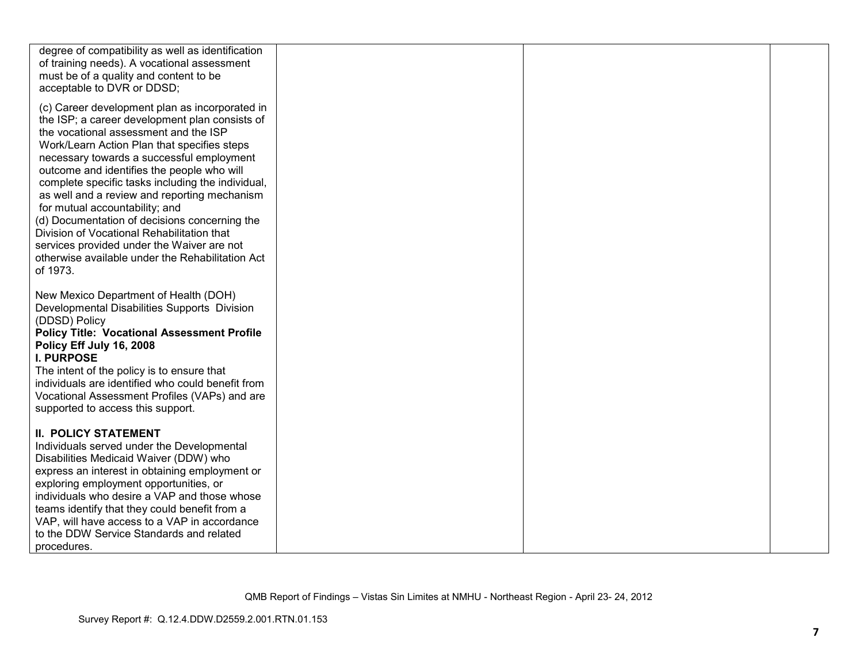| degree of compatibility as well as identification<br>of training needs). A vocational assessment<br>must be of a quality and content to be<br>acceptable to DVR or DDSD;                                                                                                                                                                                                                                                                                                                                                                                                                                                                |  |  |
|-----------------------------------------------------------------------------------------------------------------------------------------------------------------------------------------------------------------------------------------------------------------------------------------------------------------------------------------------------------------------------------------------------------------------------------------------------------------------------------------------------------------------------------------------------------------------------------------------------------------------------------------|--|--|
| (c) Career development plan as incorporated in<br>the ISP; a career development plan consists of<br>the vocational assessment and the ISP<br>Work/Learn Action Plan that specifies steps<br>necessary towards a successful employment<br>outcome and identifies the people who will<br>complete specific tasks including the individual,<br>as well and a review and reporting mechanism<br>for mutual accountability; and<br>(d) Documentation of decisions concerning the<br>Division of Vocational Rehabilitation that<br>services provided under the Waiver are not<br>otherwise available under the Rehabilitation Act<br>of 1973. |  |  |
| New Mexico Department of Health (DOH)<br>Developmental Disabilities Supports Division<br>(DDSD) Policy<br><b>Policy Title: Vocational Assessment Profile</b><br>Policy Eff July 16, 2008<br><b>I. PURPOSE</b><br>The intent of the policy is to ensure that<br>individuals are identified who could benefit from<br>Vocational Assessment Profiles (VAPs) and are<br>supported to access this support.                                                                                                                                                                                                                                  |  |  |
| <b>II. POLICY STATEMENT</b><br>Individuals served under the Developmental<br>Disabilities Medicaid Waiver (DDW) who<br>express an interest in obtaining employment or<br>exploring employment opportunities, or<br>individuals who desire a VAP and those whose<br>teams identify that they could benefit from a<br>VAP, will have access to a VAP in accordance<br>to the DDW Service Standards and related<br>procedures.                                                                                                                                                                                                             |  |  |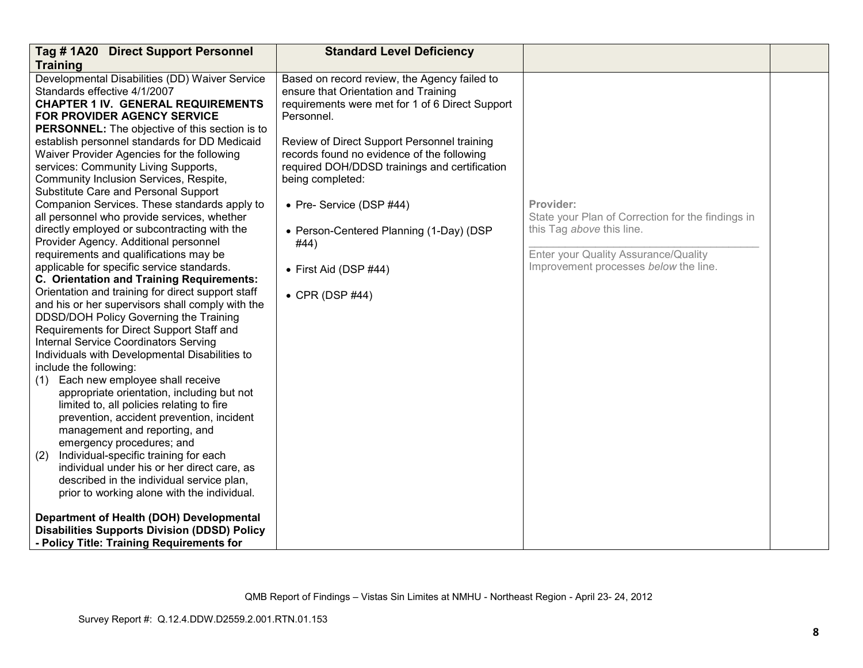| Tag #1A20 Direct Support Personnel<br><b>Training</b>                                                                                                                                                                                                                                                                                                                                                                                                                                                                                                                                                                                                                                                                                                                                                                                                                                                                                                                                                                                                                                                                                                                                                                                                                                                                                                                                                                                                                                                                                                                                                                                                                                                | <b>Standard Level Deficiency</b>                                                                                                                                                                                                                                                                                                                                                                                                                   |                                                                                                                                                                              |  |
|------------------------------------------------------------------------------------------------------------------------------------------------------------------------------------------------------------------------------------------------------------------------------------------------------------------------------------------------------------------------------------------------------------------------------------------------------------------------------------------------------------------------------------------------------------------------------------------------------------------------------------------------------------------------------------------------------------------------------------------------------------------------------------------------------------------------------------------------------------------------------------------------------------------------------------------------------------------------------------------------------------------------------------------------------------------------------------------------------------------------------------------------------------------------------------------------------------------------------------------------------------------------------------------------------------------------------------------------------------------------------------------------------------------------------------------------------------------------------------------------------------------------------------------------------------------------------------------------------------------------------------------------------------------------------------------------------|----------------------------------------------------------------------------------------------------------------------------------------------------------------------------------------------------------------------------------------------------------------------------------------------------------------------------------------------------------------------------------------------------------------------------------------------------|------------------------------------------------------------------------------------------------------------------------------------------------------------------------------|--|
| Developmental Disabilities (DD) Waiver Service<br>Standards effective 4/1/2007<br><b>CHAPTER 1 IV. GENERAL REQUIREMENTS</b><br><b>FOR PROVIDER AGENCY SERVICE</b><br><b>PERSONNEL:</b> The objective of this section is to<br>establish personnel standards for DD Medicaid<br>Waiver Provider Agencies for the following<br>services: Community Living Supports,<br>Community Inclusion Services, Respite,<br>Substitute Care and Personal Support<br>Companion Services. These standards apply to<br>all personnel who provide services, whether<br>directly employed or subcontracting with the<br>Provider Agency. Additional personnel<br>requirements and qualifications may be<br>applicable for specific service standards.<br>C. Orientation and Training Requirements:<br>Orientation and training for direct support staff<br>and his or her supervisors shall comply with the<br>DDSD/DOH Policy Governing the Training<br>Requirements for Direct Support Staff and<br><b>Internal Service Coordinators Serving</b><br>Individuals with Developmental Disabilities to<br>include the following:<br>(1) Each new employee shall receive<br>appropriate orientation, including but not<br>limited to, all policies relating to fire<br>prevention, accident prevention, incident<br>management and reporting, and<br>emergency procedures; and<br>Individual-specific training for each<br>(2)<br>individual under his or her direct care, as<br>described in the individual service plan,<br>prior to working alone with the individual.<br>Department of Health (DOH) Developmental<br><b>Disabilities Supports Division (DDSD) Policy</b><br>- Policy Title: Training Requirements for | Based on record review, the Agency failed to<br>ensure that Orientation and Training<br>requirements were met for 1 of 6 Direct Support<br>Personnel.<br>Review of Direct Support Personnel training<br>records found no evidence of the following<br>required DOH/DDSD trainings and certification<br>being completed:<br>• Pre- Service (DSP #44)<br>• Person-Centered Planning (1-Day) (DSP<br>#44)<br>• First Aid (DSP #44)<br>• CPR (DSP #44) | Provider:<br>State your Plan of Correction for the findings in<br>this Tag above this line.<br>Enter your Quality Assurance/Quality<br>Improvement processes below the line. |  |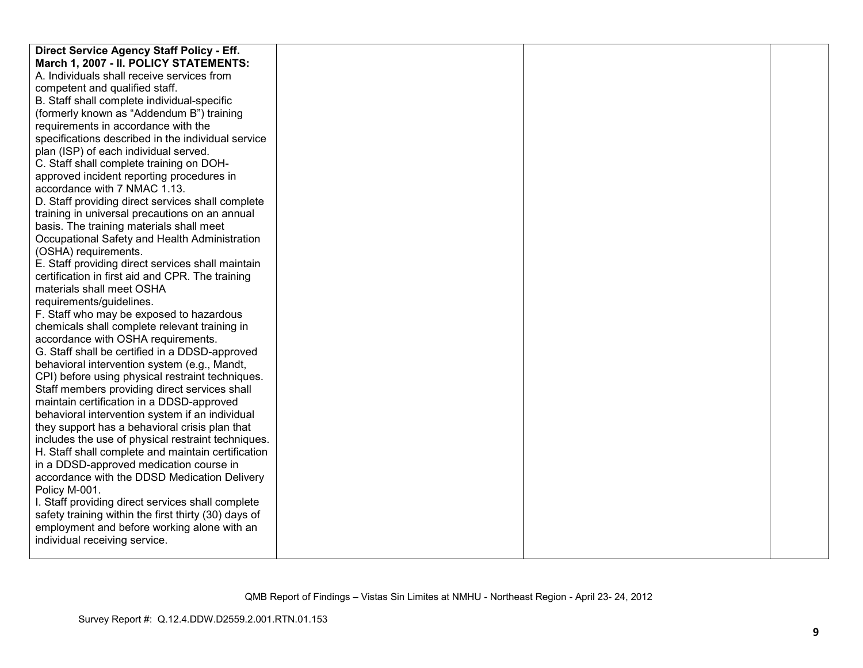| Direct Service Agency Staff Policy - Eff.            |  |  |
|------------------------------------------------------|--|--|
| March 1, 2007 - II. POLICY STATEMENTS:               |  |  |
| A. Individuals shall receive services from           |  |  |
| competent and qualified staff.                       |  |  |
| B. Staff shall complete individual-specific          |  |  |
| (formerly known as "Addendum B") training            |  |  |
| requirements in accordance with the                  |  |  |
| specifications described in the individual service   |  |  |
| plan (ISP) of each individual served.                |  |  |
| C. Staff shall complete training on DOH-             |  |  |
| approved incident reporting procedures in            |  |  |
| accordance with 7 NMAC 1.13.                         |  |  |
| D. Staff providing direct services shall complete    |  |  |
| training in universal precautions on an annual       |  |  |
| basis. The training materials shall meet             |  |  |
| Occupational Safety and Health Administration        |  |  |
| (OSHA) requirements.                                 |  |  |
| E. Staff providing direct services shall maintain    |  |  |
| certification in first aid and CPR. The training     |  |  |
| materials shall meet OSHA                            |  |  |
| requirements/guidelines.                             |  |  |
| F. Staff who may be exposed to hazardous             |  |  |
| chemicals shall complete relevant training in        |  |  |
| accordance with OSHA requirements.                   |  |  |
| G. Staff shall be certified in a DDSD-approved       |  |  |
| behavioral intervention system (e.g., Mandt,         |  |  |
| CPI) before using physical restraint techniques.     |  |  |
| Staff members providing direct services shall        |  |  |
| maintain certification in a DDSD-approved            |  |  |
| behavioral intervention system if an individual      |  |  |
| they support has a behavioral crisis plan that       |  |  |
| includes the use of physical restraint techniques.   |  |  |
| H. Staff shall complete and maintain certification   |  |  |
| in a DDSD-approved medication course in              |  |  |
| accordance with the DDSD Medication Delivery         |  |  |
| Policy M-001.                                        |  |  |
| I. Staff providing direct services shall complete    |  |  |
| safety training within the first thirty (30) days of |  |  |
| employment and before working alone with an          |  |  |
| individual receiving service.                        |  |  |
|                                                      |  |  |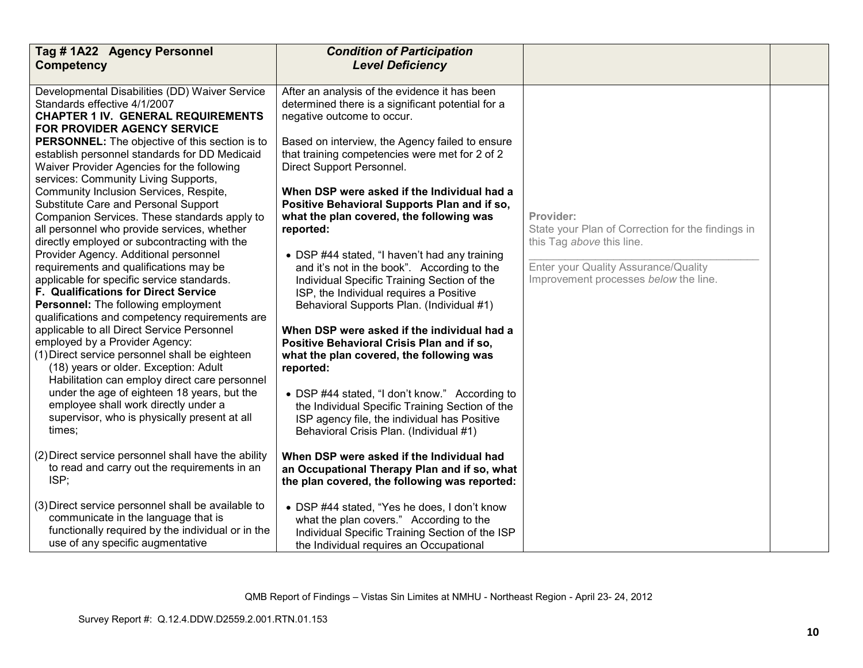| Tag #1A22 Agency Personnel<br><b>Competency</b>                                                                                                                                                                           | <b>Condition of Participation</b><br><b>Level Deficiency</b>                                                                                                                                 |                                                                   |  |
|---------------------------------------------------------------------------------------------------------------------------------------------------------------------------------------------------------------------------|----------------------------------------------------------------------------------------------------------------------------------------------------------------------------------------------|-------------------------------------------------------------------|--|
|                                                                                                                                                                                                                           |                                                                                                                                                                                              |                                                                   |  |
| Developmental Disabilities (DD) Waiver Service<br>Standards effective 4/1/2007<br><b>CHAPTER 1 IV. GENERAL REQUIREMENTS</b><br><b>FOR PROVIDER AGENCY SERVICE</b>                                                         | After an analysis of the evidence it has been<br>determined there is a significant potential for a<br>negative outcome to occur.                                                             |                                                                   |  |
| <b>PERSONNEL:</b> The objective of this section is to<br>establish personnel standards for DD Medicaid<br>Waiver Provider Agencies for the following<br>services: Community Living Supports,                              | Based on interview, the Agency failed to ensure<br>that training competencies were met for 2 of 2<br>Direct Support Personnel.                                                               |                                                                   |  |
| Community Inclusion Services, Respite,<br>Substitute Care and Personal Support<br>Companion Services. These standards apply to<br>all personnel who provide services, whether                                             | When DSP were asked if the Individual had a<br>Positive Behavioral Supports Plan and if so,<br>what the plan covered, the following was<br>reported:                                         | Provider:<br>State your Plan of Correction for the findings in    |  |
| directly employed or subcontracting with the<br>Provider Agency. Additional personnel<br>requirements and qualifications may be                                                                                           | • DSP #44 stated, "I haven't had any training<br>and it's not in the book". According to the                                                                                                 | this Tag above this line.<br>Enter your Quality Assurance/Quality |  |
| applicable for specific service standards.<br>F. Qualifications for Direct Service<br>Personnel: The following employment                                                                                                 | Individual Specific Training Section of the<br>ISP, the Individual requires a Positive<br>Behavioral Supports Plan. (Individual #1)                                                          | Improvement processes below the line.                             |  |
| qualifications and competency requirements are<br>applicable to all Direct Service Personnel<br>employed by a Provider Agency:<br>(1) Direct service personnel shall be eighteen<br>(18) years or older. Exception: Adult | When DSP were asked if the individual had a<br>Positive Behavioral Crisis Plan and if so,<br>what the plan covered, the following was<br>reported:                                           |                                                                   |  |
| Habilitation can employ direct care personnel<br>under the age of eighteen 18 years, but the<br>employee shall work directly under a<br>supervisor, who is physically present at all<br>times;                            | • DSP #44 stated, "I don't know." According to<br>the Individual Specific Training Section of the<br>ISP agency file, the individual has Positive<br>Behavioral Crisis Plan. (Individual #1) |                                                                   |  |
| (2) Direct service personnel shall have the ability<br>to read and carry out the requirements in an<br>ISP;                                                                                                               | When DSP were asked if the Individual had<br>an Occupational Therapy Plan and if so, what<br>the plan covered, the following was reported:                                                   |                                                                   |  |
| (3) Direct service personnel shall be available to<br>communicate in the language that is<br>functionally required by the individual or in the<br>use of any specific augmentative                                        | • DSP #44 stated, "Yes he does, I don't know<br>what the plan covers." According to the<br>Individual Specific Training Section of the ISP<br>the Individual requires an Occupational        |                                                                   |  |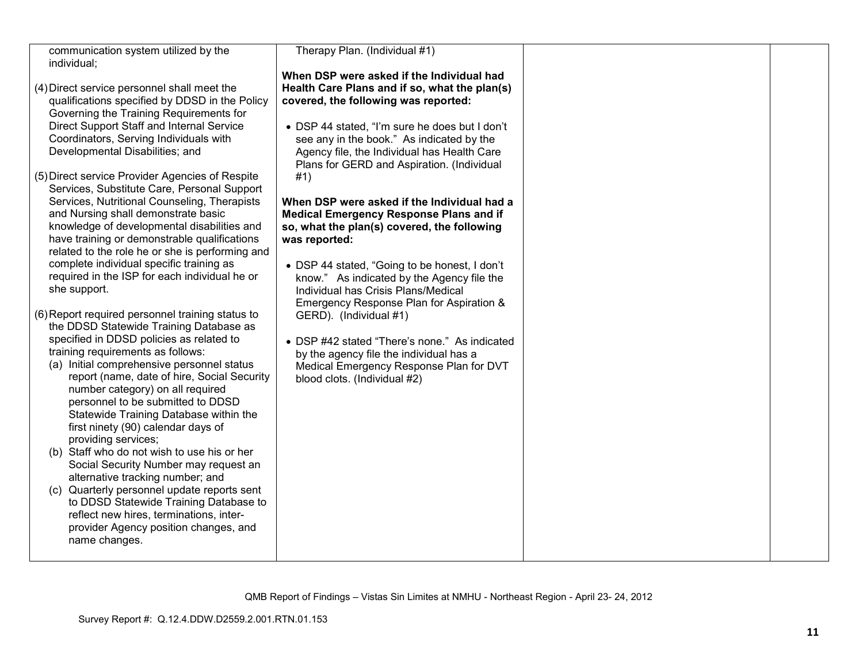| communication system utilized by the                                                                                                                                                                                                                                                                                                                                                                                                                                                                                                                                                                                                                                                                                                                                                   | Therapy Plan. (Individual #1)                                                                                                                                                                                                                                                                                                  |  |
|----------------------------------------------------------------------------------------------------------------------------------------------------------------------------------------------------------------------------------------------------------------------------------------------------------------------------------------------------------------------------------------------------------------------------------------------------------------------------------------------------------------------------------------------------------------------------------------------------------------------------------------------------------------------------------------------------------------------------------------------------------------------------------------|--------------------------------------------------------------------------------------------------------------------------------------------------------------------------------------------------------------------------------------------------------------------------------------------------------------------------------|--|
| individual;                                                                                                                                                                                                                                                                                                                                                                                                                                                                                                                                                                                                                                                                                                                                                                            |                                                                                                                                                                                                                                                                                                                                |  |
| (4) Direct service personnel shall meet the<br>qualifications specified by DDSD in the Policy<br>Governing the Training Requirements for<br>Direct Support Staff and Internal Service<br>Coordinators, Serving Individuals with<br>Developmental Disabilities; and                                                                                                                                                                                                                                                                                                                                                                                                                                                                                                                     | When DSP were asked if the Individual had<br>Health Care Plans and if so, what the plan(s)<br>covered, the following was reported:<br>• DSP 44 stated, "I'm sure he does but I don't<br>see any in the book." As indicated by the<br>Agency file, the Individual has Health Care<br>Plans for GERD and Aspiration. (Individual |  |
| (5) Direct service Provider Agencies of Respite<br>Services, Substitute Care, Personal Support<br>Services, Nutritional Counseling, Therapists<br>and Nursing shall demonstrate basic<br>knowledge of developmental disabilities and<br>have training or demonstrable qualifications<br>related to the role he or she is performing and<br>complete individual specific training as<br>required in the ISP for each individual he or<br>she support.                                                                                                                                                                                                                                                                                                                                   | #1)<br>When DSP were asked if the Individual had a<br><b>Medical Emergency Response Plans and if</b><br>so, what the plan(s) covered, the following<br>was reported:<br>• DSP 44 stated, "Going to be honest, I don't<br>know." As indicated by the Agency file the<br>Individual has Crisis Plans/Medical                     |  |
| (6) Report required personnel training status to<br>the DDSD Statewide Training Database as<br>specified in DDSD policies as related to<br>training requirements as follows:<br>(a) Initial comprehensive personnel status<br>report (name, date of hire, Social Security<br>number category) on all required<br>personnel to be submitted to DDSD<br>Statewide Training Database within the<br>first ninety (90) calendar days of<br>providing services;<br>(b) Staff who do not wish to use his or her<br>Social Security Number may request an<br>alternative tracking number; and<br>Quarterly personnel update reports sent<br>(C)<br>to DDSD Statewide Training Database to<br>reflect new hires, terminations, inter-<br>provider Agency position changes, and<br>name changes. | Emergency Response Plan for Aspiration &<br>GERD). (Individual #1)<br>• DSP #42 stated "There's none." As indicated<br>by the agency file the individual has a<br>Medical Emergency Response Plan for DVT<br>blood clots. (Individual #2)                                                                                      |  |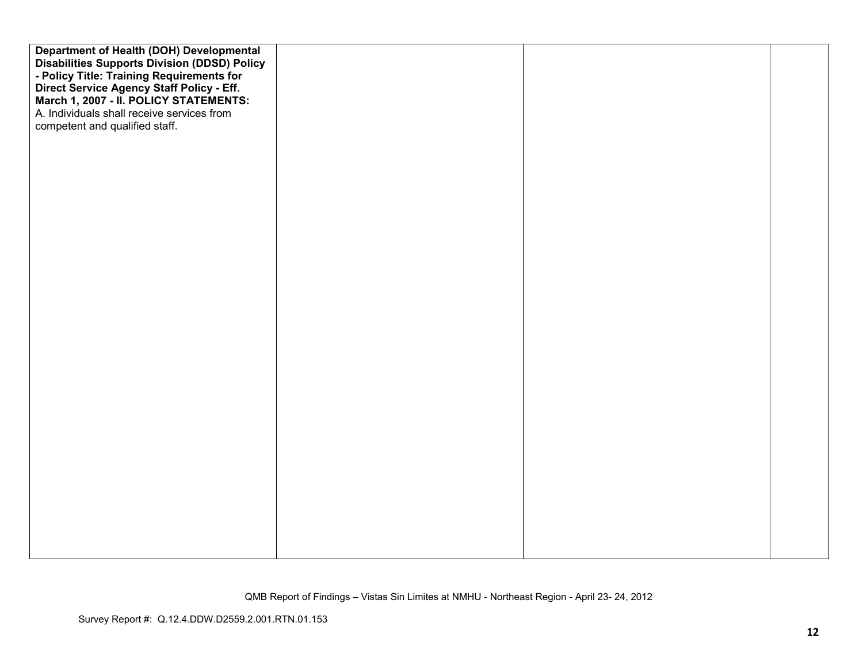| Department of Health (DOH) Developmental                                                         |  |  |
|--------------------------------------------------------------------------------------------------|--|--|
| <b>Disabilities Supports Division (DDSD) Policy</b><br>- Policy Title: Training Requirements for |  |  |
| Direct Service Agency Staff Policy - Eff.                                                        |  |  |
| March 1, 2007 - II. POLICY STATEMENTS:                                                           |  |  |
| A. Individuals shall receive services from                                                       |  |  |
| competent and qualified staff.                                                                   |  |  |
|                                                                                                  |  |  |
|                                                                                                  |  |  |
|                                                                                                  |  |  |
|                                                                                                  |  |  |
|                                                                                                  |  |  |
|                                                                                                  |  |  |
|                                                                                                  |  |  |
|                                                                                                  |  |  |
|                                                                                                  |  |  |
|                                                                                                  |  |  |
|                                                                                                  |  |  |
|                                                                                                  |  |  |
|                                                                                                  |  |  |
|                                                                                                  |  |  |
|                                                                                                  |  |  |
|                                                                                                  |  |  |
|                                                                                                  |  |  |
|                                                                                                  |  |  |
|                                                                                                  |  |  |
|                                                                                                  |  |  |
|                                                                                                  |  |  |
|                                                                                                  |  |  |
|                                                                                                  |  |  |
|                                                                                                  |  |  |
|                                                                                                  |  |  |
|                                                                                                  |  |  |
|                                                                                                  |  |  |
|                                                                                                  |  |  |
|                                                                                                  |  |  |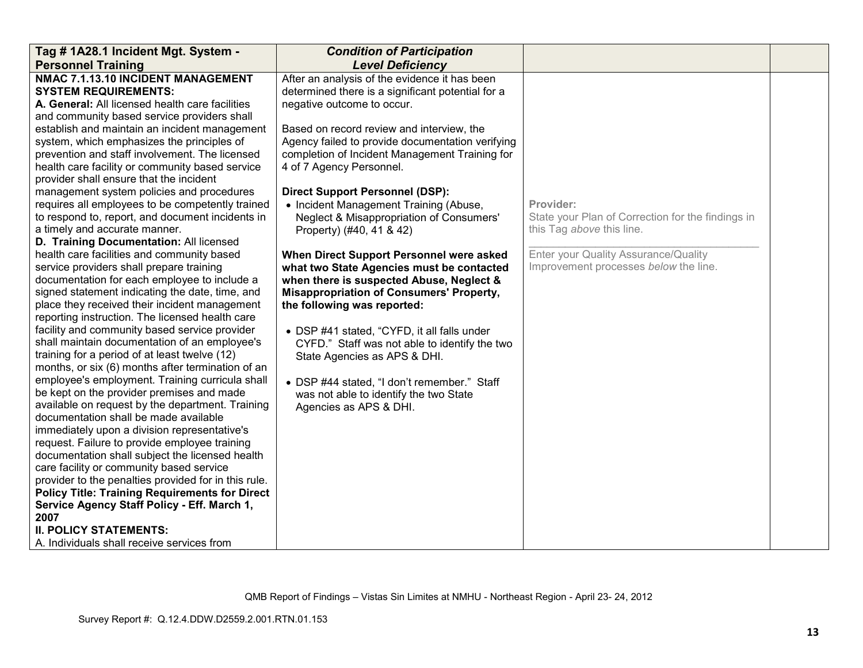| Tag # 1A28.1 Incident Mgt. System -                                                                  | <b>Condition of Participation</b>                 |                                                   |  |
|------------------------------------------------------------------------------------------------------|---------------------------------------------------|---------------------------------------------------|--|
| <b>Personnel Training</b>                                                                            | <b>Level Deficiency</b>                           |                                                   |  |
| NMAC 7.1.13.10 INCIDENT MANAGEMENT                                                                   | After an analysis of the evidence it has been     |                                                   |  |
| <b>SYSTEM REQUIREMENTS:</b>                                                                          | determined there is a significant potential for a |                                                   |  |
| A. General: All licensed health care facilities                                                      | negative outcome to occur.                        |                                                   |  |
| and community based service providers shall                                                          |                                                   |                                                   |  |
| establish and maintain an incident management                                                        | Based on record review and interview, the         |                                                   |  |
| system, which emphasizes the principles of                                                           | Agency failed to provide documentation verifying  |                                                   |  |
| prevention and staff involvement. The licensed                                                       | completion of Incident Management Training for    |                                                   |  |
| health care facility or community based service                                                      | 4 of 7 Agency Personnel.                          |                                                   |  |
| provider shall ensure that the incident                                                              |                                                   |                                                   |  |
| management system policies and procedures                                                            | <b>Direct Support Personnel (DSP):</b>            |                                                   |  |
| requires all employees to be competently trained                                                     | • Incident Management Training (Abuse,            | Provider:                                         |  |
| to respond to, report, and document incidents in                                                     | Neglect & Misappropriation of Consumers'          | State your Plan of Correction for the findings in |  |
| a timely and accurate manner.                                                                        | Property) (#40, 41 & 42)                          | this Tag above this line.                         |  |
| D. Training Documentation: All licensed                                                              |                                                   |                                                   |  |
| health care facilities and community based                                                           | When Direct Support Personnel were asked          | Enter your Quality Assurance/Quality              |  |
| service providers shall prepare training                                                             | what two State Agencies must be contacted         | Improvement processes below the line.             |  |
| documentation for each employee to include a                                                         | when there is suspected Abuse, Neglect &          |                                                   |  |
| signed statement indicating the date, time, and                                                      | <b>Misappropriation of Consumers' Property,</b>   |                                                   |  |
| place they received their incident management                                                        | the following was reported:                       |                                                   |  |
| reporting instruction. The licensed health care                                                      |                                                   |                                                   |  |
| facility and community based service provider                                                        | • DSP #41 stated, "CYFD, it all falls under       |                                                   |  |
| shall maintain documentation of an employee's                                                        | CYFD." Staff was not able to identify the two     |                                                   |  |
| training for a period of at least twelve (12)                                                        | State Agencies as APS & DHI.                      |                                                   |  |
| months, or six (6) months after termination of an                                                    |                                                   |                                                   |  |
| employee's employment. Training curricula shall                                                      | • DSP #44 stated, "I don't remember." Staff       |                                                   |  |
| be kept on the provider premises and made                                                            | was not able to identify the two State            |                                                   |  |
| available on request by the department. Training                                                     | Agencies as APS & DHI.                            |                                                   |  |
| documentation shall be made available                                                                |                                                   |                                                   |  |
| immediately upon a division representative's                                                         |                                                   |                                                   |  |
| request. Failure to provide employee training                                                        |                                                   |                                                   |  |
| documentation shall subject the licensed health                                                      |                                                   |                                                   |  |
| care facility or community based service                                                             |                                                   |                                                   |  |
| provider to the penalties provided for in this rule.                                                 |                                                   |                                                   |  |
| <b>Policy Title: Training Requirements for Direct</b><br>Service Agency Staff Policy - Eff. March 1, |                                                   |                                                   |  |
| 2007                                                                                                 |                                                   |                                                   |  |
| <b>II. POLICY STATEMENTS:</b>                                                                        |                                                   |                                                   |  |
| A. Individuals shall receive services from                                                           |                                                   |                                                   |  |
|                                                                                                      |                                                   |                                                   |  |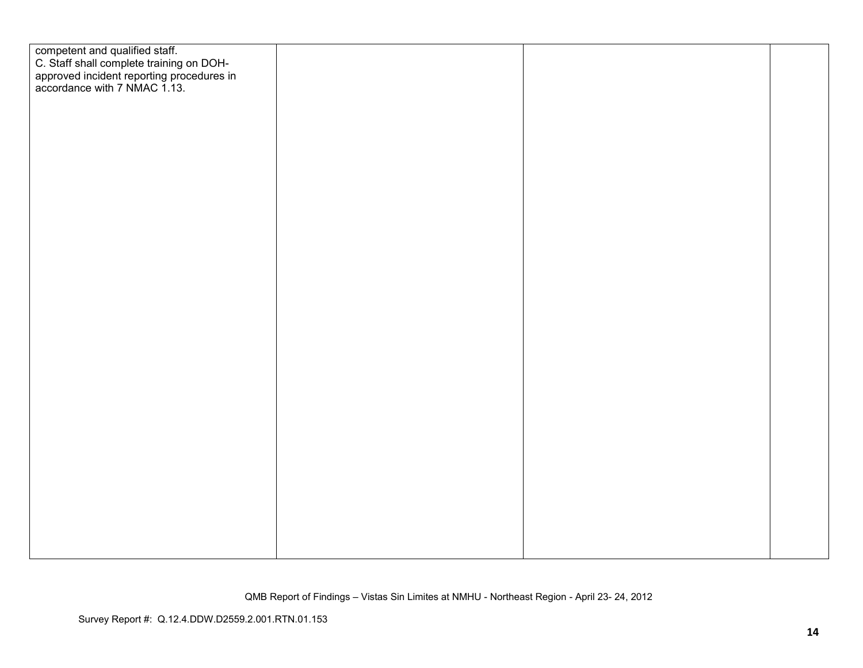| competent and qualified staff.<br>C. Staff shall complete training on DOH-<br>approved incident reporting procedures in<br>accordance with 7 NMAC 1.13. |  |  |
|---------------------------------------------------------------------------------------------------------------------------------------------------------|--|--|
|                                                                                                                                                         |  |  |
|                                                                                                                                                         |  |  |
|                                                                                                                                                         |  |  |
|                                                                                                                                                         |  |  |
|                                                                                                                                                         |  |  |
|                                                                                                                                                         |  |  |
|                                                                                                                                                         |  |  |
|                                                                                                                                                         |  |  |
|                                                                                                                                                         |  |  |
|                                                                                                                                                         |  |  |
|                                                                                                                                                         |  |  |
|                                                                                                                                                         |  |  |
|                                                                                                                                                         |  |  |
|                                                                                                                                                         |  |  |
|                                                                                                                                                         |  |  |
|                                                                                                                                                         |  |  |
|                                                                                                                                                         |  |  |
|                                                                                                                                                         |  |  |
|                                                                                                                                                         |  |  |
|                                                                                                                                                         |  |  |
|                                                                                                                                                         |  |  |
|                                                                                                                                                         |  |  |
|                                                                                                                                                         |  |  |
|                                                                                                                                                         |  |  |
|                                                                                                                                                         |  |  |
|                                                                                                                                                         |  |  |
|                                                                                                                                                         |  |  |
|                                                                                                                                                         |  |  |
|                                                                                                                                                         |  |  |
|                                                                                                                                                         |  |  |
|                                                                                                                                                         |  |  |
|                                                                                                                                                         |  |  |
|                                                                                                                                                         |  |  |
|                                                                                                                                                         |  |  |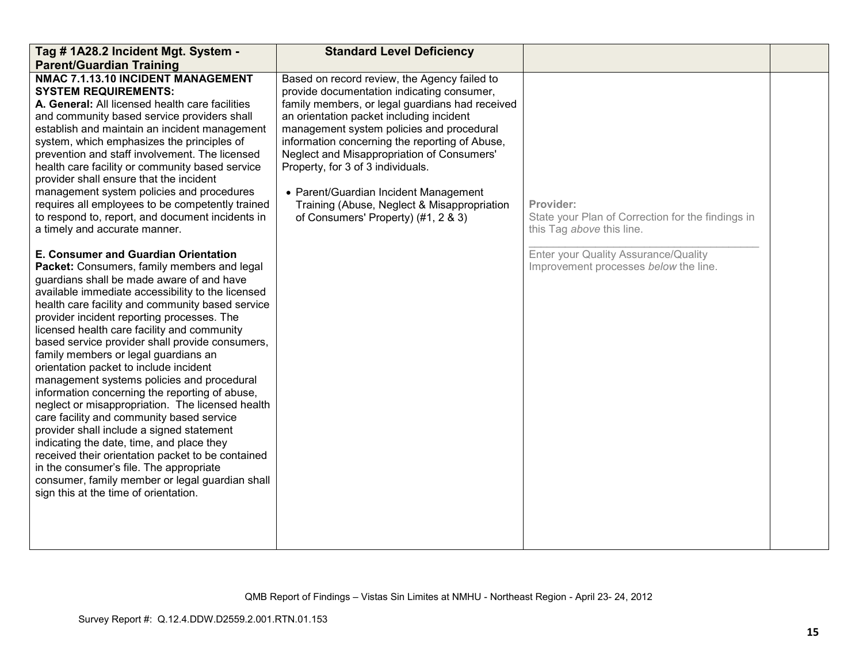| Tag # 1A28.2 Incident Mgt. System -<br><b>Parent/Guardian Training</b>                                                                                                                                                                                                                                                                                                                                                                                                                                                                                                                                                                                                                                                                                                                                                                                                                                                                                             | <b>Standard Level Deficiency</b>                                                                                                                                                                                                                                                                                                                                                                                                                                                                           |                                                                                             |  |
|--------------------------------------------------------------------------------------------------------------------------------------------------------------------------------------------------------------------------------------------------------------------------------------------------------------------------------------------------------------------------------------------------------------------------------------------------------------------------------------------------------------------------------------------------------------------------------------------------------------------------------------------------------------------------------------------------------------------------------------------------------------------------------------------------------------------------------------------------------------------------------------------------------------------------------------------------------------------|------------------------------------------------------------------------------------------------------------------------------------------------------------------------------------------------------------------------------------------------------------------------------------------------------------------------------------------------------------------------------------------------------------------------------------------------------------------------------------------------------------|---------------------------------------------------------------------------------------------|--|
| NMAC 7.1.13.10 INCIDENT MANAGEMENT<br><b>SYSTEM REQUIREMENTS:</b><br>A. General: All licensed health care facilities<br>and community based service providers shall<br>establish and maintain an incident management<br>system, which emphasizes the principles of<br>prevention and staff involvement. The licensed<br>health care facility or community based service<br>provider shall ensure that the incident<br>management system policies and procedures<br>requires all employees to be competently trained<br>to respond to, report, and document incidents in<br>a timely and accurate manner.                                                                                                                                                                                                                                                                                                                                                           | Based on record review, the Agency failed to<br>provide documentation indicating consumer,<br>family members, or legal guardians had received<br>an orientation packet including incident<br>management system policies and procedural<br>information concerning the reporting of Abuse,<br>Neglect and Misappropriation of Consumers'<br>Property, for 3 of 3 individuals.<br>• Parent/Guardian Incident Management<br>Training (Abuse, Neglect & Misappropriation<br>of Consumers' Property) (#1, 2 & 3) | Provider:<br>State your Plan of Correction for the findings in<br>this Tag above this line. |  |
| E. Consumer and Guardian Orientation<br>Packet: Consumers, family members and legal<br>guardians shall be made aware of and have<br>available immediate accessibility to the licensed<br>health care facility and community based service<br>provider incident reporting processes. The<br>licensed health care facility and community<br>based service provider shall provide consumers,<br>family members or legal guardians an<br>orientation packet to include incident<br>management systems policies and procedural<br>information concerning the reporting of abuse,<br>neglect or misappropriation. The licensed health<br>care facility and community based service<br>provider shall include a signed statement<br>indicating the date, time, and place they<br>received their orientation packet to be contained<br>in the consumer's file. The appropriate<br>consumer, family member or legal guardian shall<br>sign this at the time of orientation. |                                                                                                                                                                                                                                                                                                                                                                                                                                                                                                            | Enter your Quality Assurance/Quality<br>Improvement processes below the line.               |  |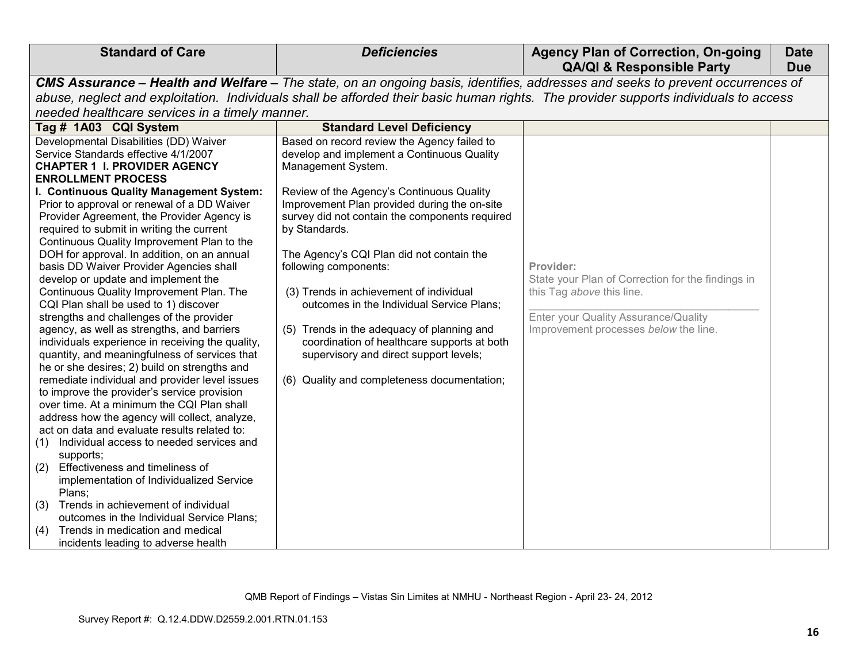| <b>Standard of Care</b>                                                                                                                                                                                                                                                                                                                                                                                                                                                                                                                                                                                                                                                                                                                                                                                                                                                                                                                                                                                                                                                                                                                                                                                                                                                                                                                                                                                                                                  | <b>Deficiencies</b>                                                                                                                                                                                                                                                                                                                                                                                                                                                                                                                                                                                                                 | <b>Agency Plan of Correction, On-going</b><br><b>QA/QI &amp; Responsible Party</b>                                                                                           | <b>Date</b><br><b>Due</b> |
|----------------------------------------------------------------------------------------------------------------------------------------------------------------------------------------------------------------------------------------------------------------------------------------------------------------------------------------------------------------------------------------------------------------------------------------------------------------------------------------------------------------------------------------------------------------------------------------------------------------------------------------------------------------------------------------------------------------------------------------------------------------------------------------------------------------------------------------------------------------------------------------------------------------------------------------------------------------------------------------------------------------------------------------------------------------------------------------------------------------------------------------------------------------------------------------------------------------------------------------------------------------------------------------------------------------------------------------------------------------------------------------------------------------------------------------------------------|-------------------------------------------------------------------------------------------------------------------------------------------------------------------------------------------------------------------------------------------------------------------------------------------------------------------------------------------------------------------------------------------------------------------------------------------------------------------------------------------------------------------------------------------------------------------------------------------------------------------------------------|------------------------------------------------------------------------------------------------------------------------------------------------------------------------------|---------------------------|
|                                                                                                                                                                                                                                                                                                                                                                                                                                                                                                                                                                                                                                                                                                                                                                                                                                                                                                                                                                                                                                                                                                                                                                                                                                                                                                                                                                                                                                                          | CMS Assurance - Health and Welfare - The state, on an ongoing basis, identifies, addresses and seeks to prevent occurrences of                                                                                                                                                                                                                                                                                                                                                                                                                                                                                                      |                                                                                                                                                                              |                           |
|                                                                                                                                                                                                                                                                                                                                                                                                                                                                                                                                                                                                                                                                                                                                                                                                                                                                                                                                                                                                                                                                                                                                                                                                                                                                                                                                                                                                                                                          | abuse, neglect and exploitation. Individuals shall be afforded their basic human rights. The provider supports individuals to access                                                                                                                                                                                                                                                                                                                                                                                                                                                                                                |                                                                                                                                                                              |                           |
| needed healthcare services in a timely manner.                                                                                                                                                                                                                                                                                                                                                                                                                                                                                                                                                                                                                                                                                                                                                                                                                                                                                                                                                                                                                                                                                                                                                                                                                                                                                                                                                                                                           |                                                                                                                                                                                                                                                                                                                                                                                                                                                                                                                                                                                                                                     |                                                                                                                                                                              |                           |
| Tag # 1A03 CQI System                                                                                                                                                                                                                                                                                                                                                                                                                                                                                                                                                                                                                                                                                                                                                                                                                                                                                                                                                                                                                                                                                                                                                                                                                                                                                                                                                                                                                                    | <b>Standard Level Deficiency</b>                                                                                                                                                                                                                                                                                                                                                                                                                                                                                                                                                                                                    |                                                                                                                                                                              |                           |
| Developmental Disabilities (DD) Waiver<br>Service Standards effective 4/1/2007<br><b>CHAPTER 1 I. PROVIDER AGENCY</b><br><b>ENROLLMENT PROCESS</b><br>I. Continuous Quality Management System:<br>Prior to approval or renewal of a DD Waiver<br>Provider Agreement, the Provider Agency is<br>required to submit in writing the current<br>Continuous Quality Improvement Plan to the<br>DOH for approval. In addition, on an annual<br>basis DD Waiver Provider Agencies shall<br>develop or update and implement the<br>Continuous Quality Improvement Plan. The<br>CQI Plan shall be used to 1) discover<br>strengths and challenges of the provider<br>agency, as well as strengths, and barriers<br>individuals experience in receiving the quality,<br>quantity, and meaningfulness of services that<br>he or she desires; 2) build on strengths and<br>remediate individual and provider level issues<br>to improve the provider's service provision<br>over time. At a minimum the CQI Plan shall<br>address how the agency will collect, analyze,<br>act on data and evaluate results related to:<br>Individual access to needed services and<br>(1)<br>supports;<br>Effectiveness and timeliness of<br>(2)<br>implementation of Individualized Service<br>Plans;<br>Trends in achievement of individual<br>(3)<br>outcomes in the Individual Service Plans;<br>(4)<br>Trends in medication and medical<br>incidents leading to adverse health | Based on record review the Agency failed to<br>develop and implement a Continuous Quality<br>Management System.<br>Review of the Agency's Continuous Quality<br>Improvement Plan provided during the on-site<br>survey did not contain the components required<br>by Standards.<br>The Agency's CQI Plan did not contain the<br>following components:<br>(3) Trends in achievement of individual<br>outcomes in the Individual Service Plans;<br>(5) Trends in the adequacy of planning and<br>coordination of healthcare supports at both<br>supervisory and direct support levels;<br>(6) Quality and completeness documentation; | Provider:<br>State your Plan of Correction for the findings in<br>this Tag above this line.<br>Enter your Quality Assurance/Quality<br>Improvement processes below the line. |                           |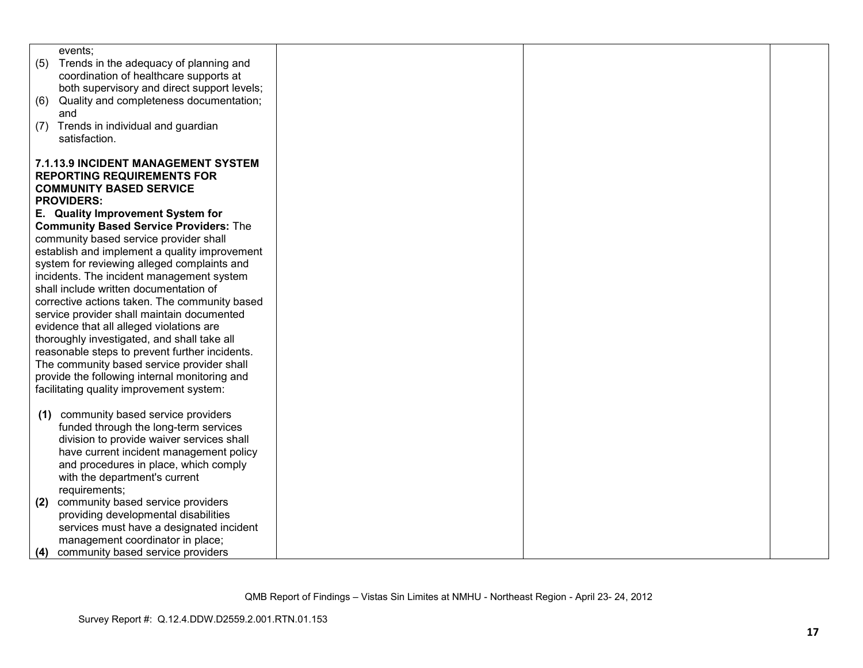| events;                                         |  |  |
|-------------------------------------------------|--|--|
| (5)<br>Trends in the adequacy of planning and   |  |  |
| coordination of healthcare supports at          |  |  |
| both supervisory and direct support levels;     |  |  |
| Quality and completeness documentation;<br>(6)  |  |  |
| and<br>Trends in individual and guardian<br>(7) |  |  |
| satisfaction.                                   |  |  |
|                                                 |  |  |
| <b>7.1.13.9 INCIDENT MANAGEMENT SYSTEM</b>      |  |  |
| <b>REPORTING REQUIREMENTS FOR</b>               |  |  |
| <b>COMMUNITY BASED SERVICE</b>                  |  |  |
| <b>PROVIDERS:</b>                               |  |  |
| E. Quality Improvement System for               |  |  |
| <b>Community Based Service Providers: The</b>   |  |  |
| community based service provider shall          |  |  |
| establish and implement a quality improvement   |  |  |
| system for reviewing alleged complaints and     |  |  |
| incidents. The incident management system       |  |  |
| shall include written documentation of          |  |  |
| corrective actions taken. The community based   |  |  |
| service provider shall maintain documented      |  |  |
| evidence that all alleged violations are        |  |  |
| thoroughly investigated, and shall take all     |  |  |
| reasonable steps to prevent further incidents.  |  |  |
| The community based service provider shall      |  |  |
| provide the following internal monitoring and   |  |  |
| facilitating quality improvement system:        |  |  |
| community based service providers               |  |  |
| (1)<br>funded through the long-term services    |  |  |
| division to provide waiver services shall       |  |  |
| have current incident management policy         |  |  |
| and procedures in place, which comply           |  |  |
| with the department's current                   |  |  |
| requirements;                                   |  |  |
| community based service providers<br>(2)        |  |  |
| providing developmental disabilities            |  |  |
| services must have a designated incident        |  |  |
| management coordinator in place;                |  |  |
| community based service providers<br>(4)        |  |  |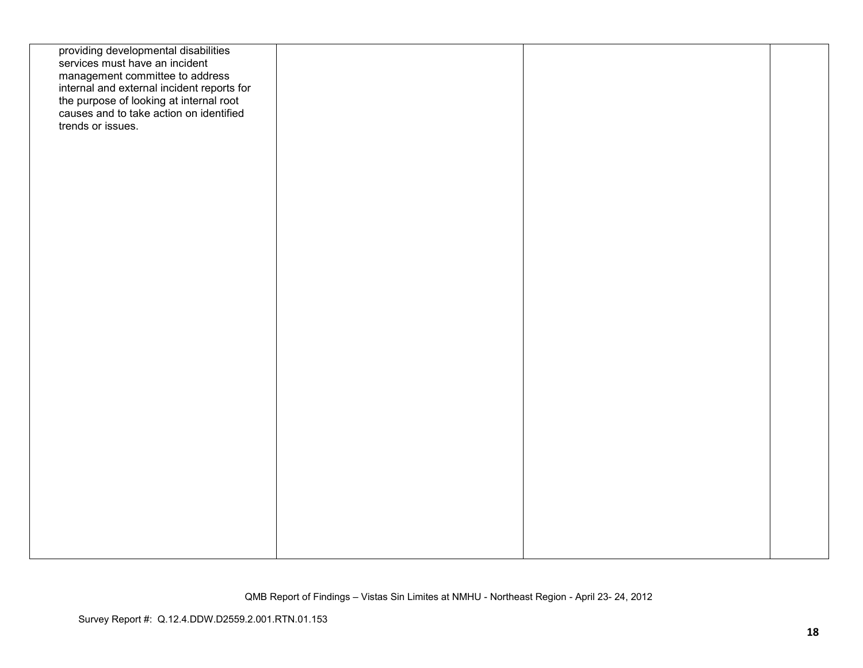| providing developmental disabilities<br>services must have an incident<br>management committee to address<br>internal and external incident reports for<br>the purpose of looking at internal root<br>causes and to take action on identified<br>trends or issues. |  |  |
|--------------------------------------------------------------------------------------------------------------------------------------------------------------------------------------------------------------------------------------------------------------------|--|--|
|                                                                                                                                                                                                                                                                    |  |  |
|                                                                                                                                                                                                                                                                    |  |  |
|                                                                                                                                                                                                                                                                    |  |  |
|                                                                                                                                                                                                                                                                    |  |  |
|                                                                                                                                                                                                                                                                    |  |  |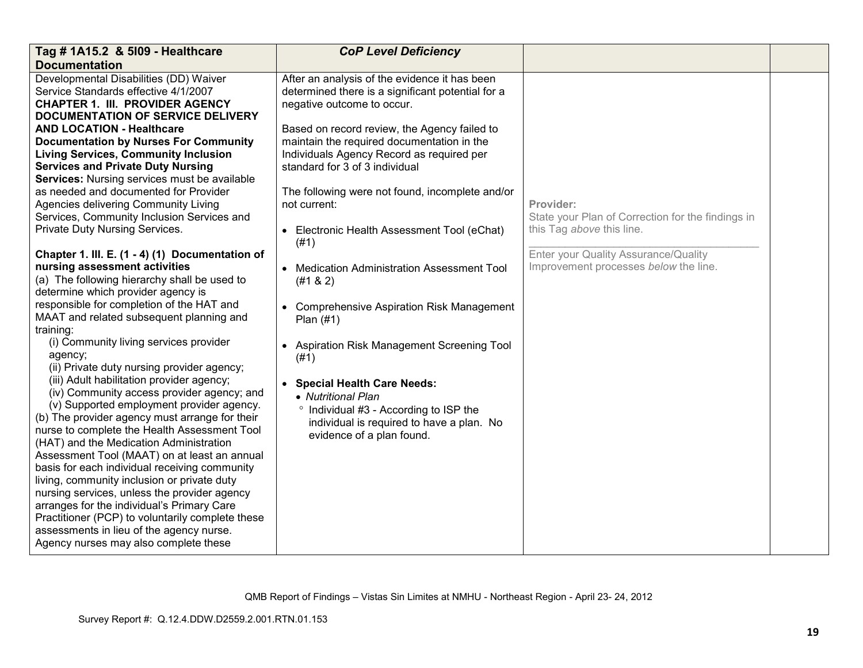| Tag # 1A15.2 & 5109 - Healthcare<br><b>Documentation</b>                                                                                                                                                                                                                                                                                                                                                                                                                                                                                                                                                                                                                                                                                                                                                                                                                                                                                                                                                                                                                                                                                                                                                                                                                                                                                                                                                                                                                                                                                                                                                                     | <b>CoP Level Deficiency</b>                                                                                                                                                                                                                                                                                                                                                                                                                                                                                                                                                                                                                                                                                                                                                                                 |                                                                                                                                                                              |  |
|------------------------------------------------------------------------------------------------------------------------------------------------------------------------------------------------------------------------------------------------------------------------------------------------------------------------------------------------------------------------------------------------------------------------------------------------------------------------------------------------------------------------------------------------------------------------------------------------------------------------------------------------------------------------------------------------------------------------------------------------------------------------------------------------------------------------------------------------------------------------------------------------------------------------------------------------------------------------------------------------------------------------------------------------------------------------------------------------------------------------------------------------------------------------------------------------------------------------------------------------------------------------------------------------------------------------------------------------------------------------------------------------------------------------------------------------------------------------------------------------------------------------------------------------------------------------------------------------------------------------------|-------------------------------------------------------------------------------------------------------------------------------------------------------------------------------------------------------------------------------------------------------------------------------------------------------------------------------------------------------------------------------------------------------------------------------------------------------------------------------------------------------------------------------------------------------------------------------------------------------------------------------------------------------------------------------------------------------------------------------------------------------------------------------------------------------------|------------------------------------------------------------------------------------------------------------------------------------------------------------------------------|--|
| Developmental Disabilities (DD) Waiver<br>Service Standards effective 4/1/2007<br><b>CHAPTER 1. III. PROVIDER AGENCY</b><br>DOCUMENTATION OF SERVICE DELIVERY<br><b>AND LOCATION - Healthcare</b><br><b>Documentation by Nurses For Community</b><br><b>Living Services, Community Inclusion</b><br><b>Services and Private Duty Nursing</b><br>Services: Nursing services must be available<br>as needed and documented for Provider<br>Agencies delivering Community Living<br>Services, Community Inclusion Services and<br>Private Duty Nursing Services.<br>Chapter 1. III. E. (1 - 4) (1) Documentation of<br>nursing assessment activities<br>(a) The following hierarchy shall be used to<br>determine which provider agency is<br>responsible for completion of the HAT and<br>MAAT and related subsequent planning and<br>training:<br>(i) Community living services provider<br>agency;<br>(ii) Private duty nursing provider agency;<br>(iii) Adult habilitation provider agency;<br>(iv) Community access provider agency; and<br>(v) Supported employment provider agency.<br>(b) The provider agency must arrange for their<br>nurse to complete the Health Assessment Tool<br>(HAT) and the Medication Administration<br>Assessment Tool (MAAT) on at least an annual<br>basis for each individual receiving community<br>living, community inclusion or private duty<br>nursing services, unless the provider agency<br>arranges for the individual's Primary Care<br>Practitioner (PCP) to voluntarily complete these<br>assessments in lieu of the agency nurse.<br>Agency nurses may also complete these | After an analysis of the evidence it has been<br>determined there is a significant potential for a<br>negative outcome to occur.<br>Based on record review, the Agency failed to<br>maintain the required documentation in the<br>Individuals Agency Record as required per<br>standard for 3 of 3 individual<br>The following were not found, incomplete and/or<br>not current:<br>• Electronic Health Assessment Tool (eChat)<br>(#1)<br>• Medication Administration Assessment Tool<br>(#1 & 2)<br>• Comprehensive Aspiration Risk Management<br>Plan $(#1)$<br>• Aspiration Risk Management Screening Tool<br>(#1)<br>• Special Health Care Needs:<br>• Nutritional Plan<br><sup>o</sup> Individual #3 - According to ISP the<br>individual is required to have a plan. No<br>evidence of a plan found. | Provider:<br>State your Plan of Correction for the findings in<br>this Tag above this line.<br>Enter your Quality Assurance/Quality<br>Improvement processes below the line. |  |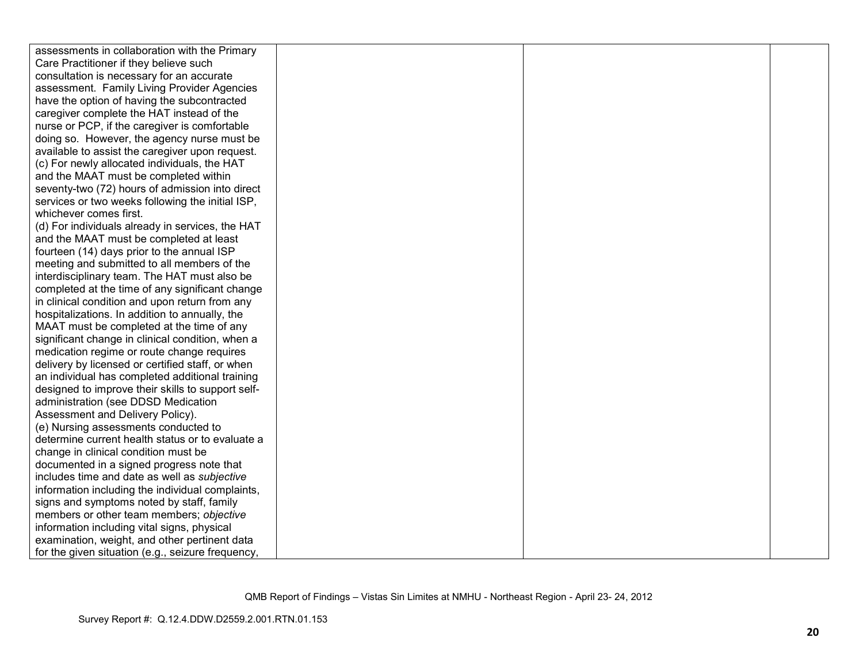| assessments in collaboration with the Primary     |  |  |
|---------------------------------------------------|--|--|
| Care Practitioner if they believe such            |  |  |
| consultation is necessary for an accurate         |  |  |
| assessment. Family Living Provider Agencies       |  |  |
| have the option of having the subcontracted       |  |  |
| caregiver complete the HAT instead of the         |  |  |
| nurse or PCP, if the caregiver is comfortable     |  |  |
| doing so. However, the agency nurse must be       |  |  |
| available to assist the caregiver upon request.   |  |  |
| (c) For newly allocated individuals, the HAT      |  |  |
| and the MAAT must be completed within             |  |  |
| seventy-two (72) hours of admission into direct   |  |  |
| services or two weeks following the initial ISP,  |  |  |
| whichever comes first.                            |  |  |
| (d) For individuals already in services, the HAT  |  |  |
| and the MAAT must be completed at least           |  |  |
| fourteen (14) days prior to the annual ISP        |  |  |
| meeting and submitted to all members of the       |  |  |
| interdisciplinary team. The HAT must also be      |  |  |
| completed at the time of any significant change   |  |  |
| in clinical condition and upon return from any    |  |  |
| hospitalizations. In addition to annually, the    |  |  |
| MAAT must be completed at the time of any         |  |  |
| significant change in clinical condition, when a  |  |  |
| medication regime or route change requires        |  |  |
| delivery by licensed or certified staff, or when  |  |  |
| an individual has completed additional training   |  |  |
| designed to improve their skills to support self- |  |  |
| administration (see DDSD Medication               |  |  |
| Assessment and Delivery Policy).                  |  |  |
| (e) Nursing assessments conducted to              |  |  |
| determine current health status or to evaluate a  |  |  |
| change in clinical condition must be              |  |  |
| documented in a signed progress note that         |  |  |
| includes time and date as well as subjective      |  |  |
| information including the individual complaints,  |  |  |
| signs and symptoms noted by staff, family         |  |  |
| members or other team members; objective          |  |  |
| information including vital signs, physical       |  |  |
| examination, weight, and other pertinent data     |  |  |
| for the given situation (e.g., seizure frequency, |  |  |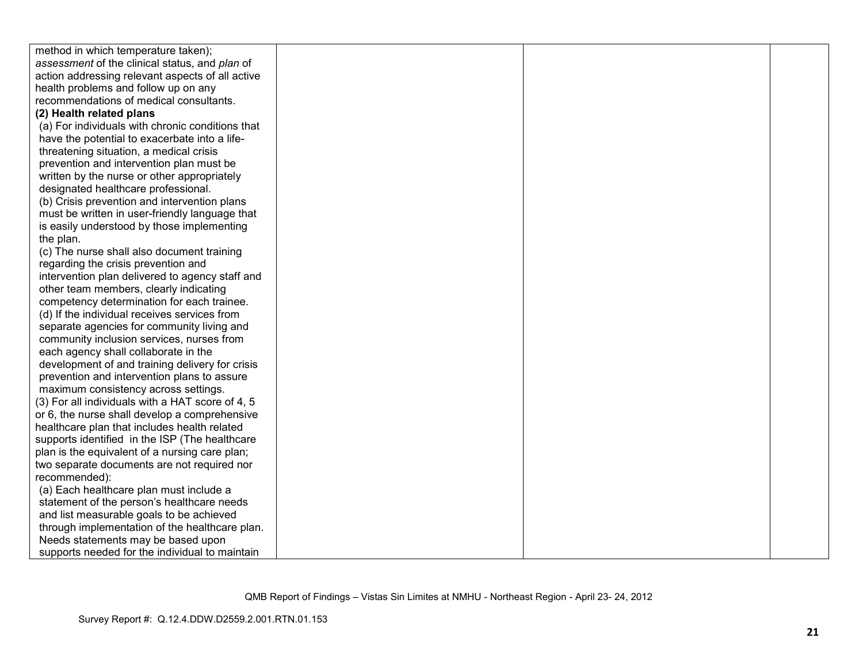| method in which temperature taken);              |  |  |
|--------------------------------------------------|--|--|
| assessment of the clinical status, and plan of   |  |  |
| action addressing relevant aspects of all active |  |  |
| health problems and follow up on any             |  |  |
| recommendations of medical consultants.          |  |  |
| (2) Health related plans                         |  |  |
| (a) For individuals with chronic conditions that |  |  |
| have the potential to exacerbate into a life-    |  |  |
| threatening situation, a medical crisis          |  |  |
| prevention and intervention plan must be         |  |  |
| written by the nurse or other appropriately      |  |  |
| designated healthcare professional.              |  |  |
| (b) Crisis prevention and intervention plans     |  |  |
| must be written in user-friendly language that   |  |  |
| is easily understood by those implementing       |  |  |
| the plan.                                        |  |  |
| (c) The nurse shall also document training       |  |  |
| regarding the crisis prevention and              |  |  |
| intervention plan delivered to agency staff and  |  |  |
| other team members, clearly indicating           |  |  |
| competency determination for each trainee.       |  |  |
| (d) If the individual receives services from     |  |  |
| separate agencies for community living and       |  |  |
| community inclusion services, nurses from        |  |  |
| each agency shall collaborate in the             |  |  |
| development of and training delivery for crisis  |  |  |
| prevention and intervention plans to assure      |  |  |
| maximum consistency across settings.             |  |  |
| (3) For all individuals with a HAT score of 4, 5 |  |  |
| or 6, the nurse shall develop a comprehensive    |  |  |
| healthcare plan that includes health related     |  |  |
| supports identified in the ISP (The healthcare   |  |  |
| plan is the equivalent of a nursing care plan;   |  |  |
| two separate documents are not required nor      |  |  |
| recommended):                                    |  |  |
| (a) Each healthcare plan must include a          |  |  |
| statement of the person's healthcare needs       |  |  |
| and list measurable goals to be achieved         |  |  |
| through implementation of the healthcare plan.   |  |  |
| Needs statements may be based upon               |  |  |
| supports needed for the individual to maintain   |  |  |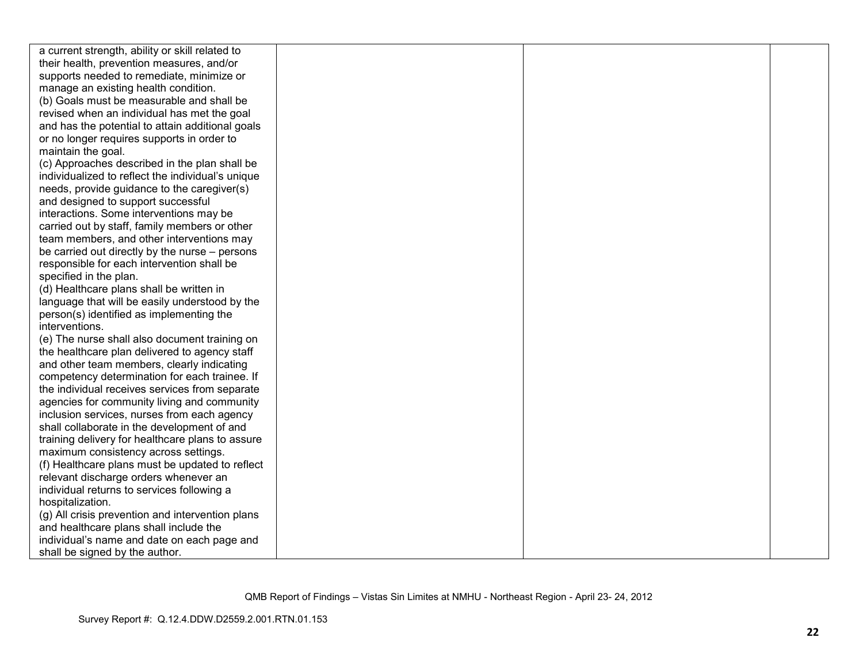| a current strength, ability or skill related to   |  |  |
|---------------------------------------------------|--|--|
| their health, prevention measures, and/or         |  |  |
| supports needed to remediate, minimize or         |  |  |
| manage an existing health condition.              |  |  |
| (b) Goals must be measurable and shall be         |  |  |
| revised when an individual has met the goal       |  |  |
| and has the potential to attain additional goals  |  |  |
| or no longer requires supports in order to        |  |  |
| maintain the goal.                                |  |  |
| (c) Approaches described in the plan shall be     |  |  |
| individualized to reflect the individual's unique |  |  |
| needs, provide guidance to the caregiver(s)       |  |  |
| and designed to support successful                |  |  |
| interactions. Some interventions may be           |  |  |
| carried out by staff, family members or other     |  |  |
| team members, and other interventions may         |  |  |
| be carried out directly by the nurse – persons    |  |  |
| responsible for each intervention shall be        |  |  |
| specified in the plan.                            |  |  |
| (d) Healthcare plans shall be written in          |  |  |
| language that will be easily understood by the    |  |  |
| person(s) identified as implementing the          |  |  |
| interventions.                                    |  |  |
| (e) The nurse shall also document training on     |  |  |
| the healthcare plan delivered to agency staff     |  |  |
| and other team members, clearly indicating        |  |  |
| competency determination for each trainee. If     |  |  |
| the individual receives services from separate    |  |  |
| agencies for community living and community       |  |  |
| inclusion services, nurses from each agency       |  |  |
| shall collaborate in the development of and       |  |  |
| training delivery for healthcare plans to assure  |  |  |
| maximum consistency across settings.              |  |  |
| (f) Healthcare plans must be updated to reflect   |  |  |
| relevant discharge orders whenever an             |  |  |
| individual returns to services following a        |  |  |
| hospitalization.                                  |  |  |
| (g) All crisis prevention and intervention plans  |  |  |
| and healthcare plans shall include the            |  |  |
| individual's name and date on each page and       |  |  |
| shall be signed by the author.                    |  |  |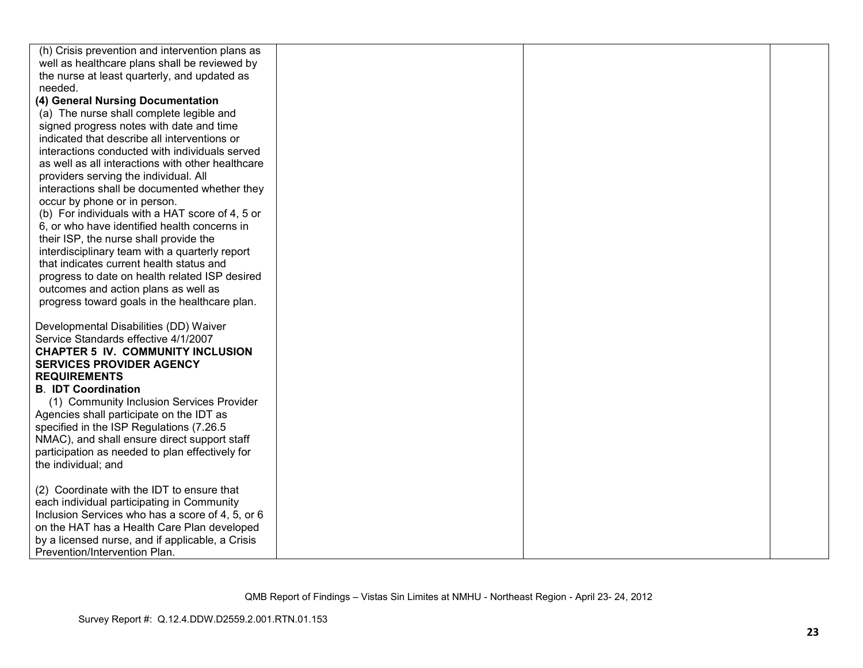| (h) Crisis prevention and intervention plans as   |  |  |
|---------------------------------------------------|--|--|
| well as healthcare plans shall be reviewed by     |  |  |
| the nurse at least quarterly, and updated as      |  |  |
| needed.                                           |  |  |
| (4) General Nursing Documentation                 |  |  |
| (a) The nurse shall complete legible and          |  |  |
| signed progress notes with date and time          |  |  |
| indicated that describe all interventions or      |  |  |
| interactions conducted with individuals served    |  |  |
| as well as all interactions with other healthcare |  |  |
| providers serving the individual. All             |  |  |
| interactions shall be documented whether they     |  |  |
| occur by phone or in person.                      |  |  |
| (b) For individuals with a HAT score of 4, 5 or   |  |  |
| 6, or who have identified health concerns in      |  |  |
| their ISP, the nurse shall provide the            |  |  |
| interdisciplinary team with a quarterly report    |  |  |
| that indicates current health status and          |  |  |
| progress to date on health related ISP desired    |  |  |
| outcomes and action plans as well as              |  |  |
| progress toward goals in the healthcare plan.     |  |  |
|                                                   |  |  |
| Developmental Disabilities (DD) Waiver            |  |  |
| Service Standards effective 4/1/2007              |  |  |
| <b>CHAPTER 5 IV. COMMUNITY INCLUSION</b>          |  |  |
| <b>SERVICES PROVIDER AGENCY</b>                   |  |  |
| <b>REQUIREMENTS</b>                               |  |  |
| <b>B. IDT Coordination</b>                        |  |  |
| (1) Community Inclusion Services Provider         |  |  |
| Agencies shall participate on the IDT as          |  |  |
| specified in the ISP Regulations (7.26.5)         |  |  |
| NMAC), and shall ensure direct support staff      |  |  |
| participation as needed to plan effectively for   |  |  |
| the individual; and                               |  |  |
|                                                   |  |  |
| (2) Coordinate with the IDT to ensure that        |  |  |
| each individual participating in Community        |  |  |
| Inclusion Services who has a score of 4, 5, or 6  |  |  |
| on the HAT has a Health Care Plan developed       |  |  |
| by a licensed nurse, and if applicable, a Crisis  |  |  |
| Prevention/Intervention Plan.                     |  |  |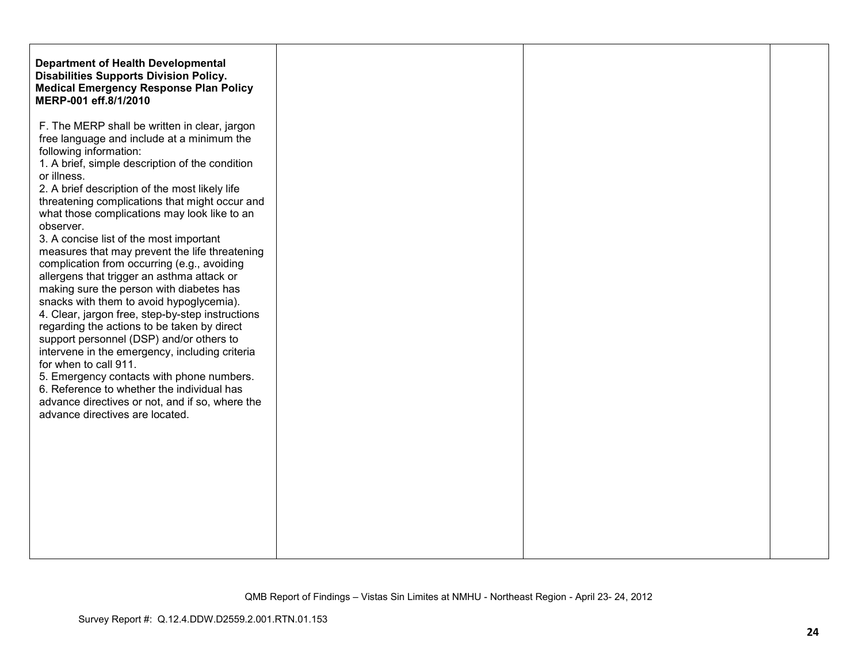| <b>Department of Health Developmental</b><br><b>Disabilities Supports Division Policy.</b><br><b>Medical Emergency Response Plan Policy</b><br>MERP-001 eff.8/1/2010                                                                                                                                                                                                                                                                                                                                                                                                                                                                                                                                                                                                                                                                                                                     |  |  |
|------------------------------------------------------------------------------------------------------------------------------------------------------------------------------------------------------------------------------------------------------------------------------------------------------------------------------------------------------------------------------------------------------------------------------------------------------------------------------------------------------------------------------------------------------------------------------------------------------------------------------------------------------------------------------------------------------------------------------------------------------------------------------------------------------------------------------------------------------------------------------------------|--|--|
| F. The MERP shall be written in clear, jargon<br>free language and include at a minimum the<br>1. A brief, simple description of the condition<br>2. A brief description of the most likely life<br>threatening complications that might occur and<br>what those complications may look like to an<br>measures that may prevent the life threatening<br>complication from occurring (e.g., avoiding<br>allergens that trigger an asthma attack or<br>making sure the person with diabetes has<br>snacks with them to avoid hypoglycemia).<br>4. Clear, jargon free, step-by-step instructions<br>regarding the actions to be taken by direct<br>support personnel (DSP) and/or others to<br>intervene in the emergency, including criteria<br>5. Emergency contacts with phone numbers.<br>6. Reference to whether the individual has<br>advance directives or not, and if so, where the |  |  |
|                                                                                                                                                                                                                                                                                                                                                                                                                                                                                                                                                                                                                                                                                                                                                                                                                                                                                          |  |  |